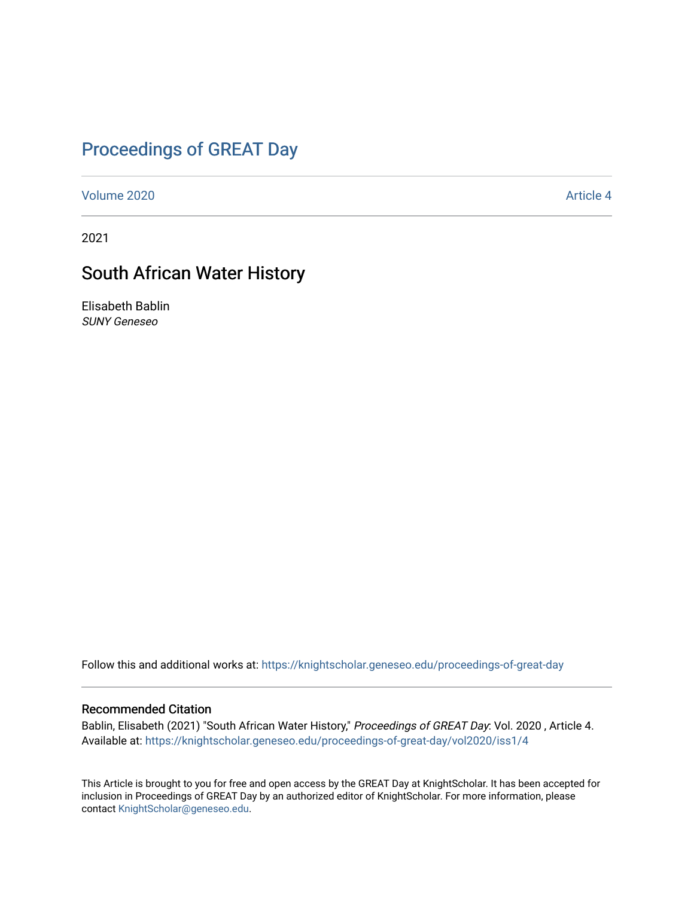# [Proceedings of GREAT Day](https://knightscholar.geneseo.edu/proceedings-of-great-day)

[Volume 2020](https://knightscholar.geneseo.edu/proceedings-of-great-day/vol2020) **Article 4** Article 4

2021

### South African Water History

Elisabeth Bablin SUNY Geneseo

Follow this and additional works at: [https://knightscholar.geneseo.edu/proceedings-of-great-day](https://knightscholar.geneseo.edu/proceedings-of-great-day?utm_source=knightscholar.geneseo.edu%2Fproceedings-of-great-day%2Fvol2020%2Fiss1%2F4&utm_medium=PDF&utm_campaign=PDFCoverPages) 

### Recommended Citation

Bablin, Elisabeth (2021) "South African Water History," Proceedings of GREAT Day: Vol. 2020, Article 4. Available at: [https://knightscholar.geneseo.edu/proceedings-of-great-day/vol2020/iss1/4](https://knightscholar.geneseo.edu/proceedings-of-great-day/vol2020/iss1/4?utm_source=knightscholar.geneseo.edu%2Fproceedings-of-great-day%2Fvol2020%2Fiss1%2F4&utm_medium=PDF&utm_campaign=PDFCoverPages) 

This Article is brought to you for free and open access by the GREAT Day at KnightScholar. It has been accepted for inclusion in Proceedings of GREAT Day by an authorized editor of KnightScholar. For more information, please contact [KnightScholar@geneseo.edu.](mailto:KnightScholar@geneseo.edu)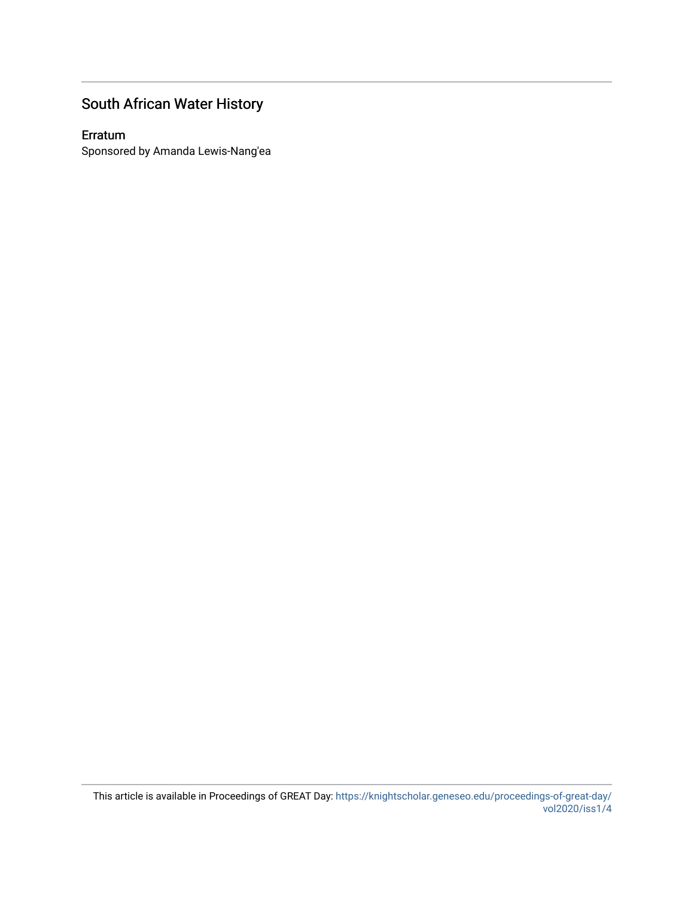## South African Water History

### Erratum

Sponsored by Amanda Lewis-Nang'ea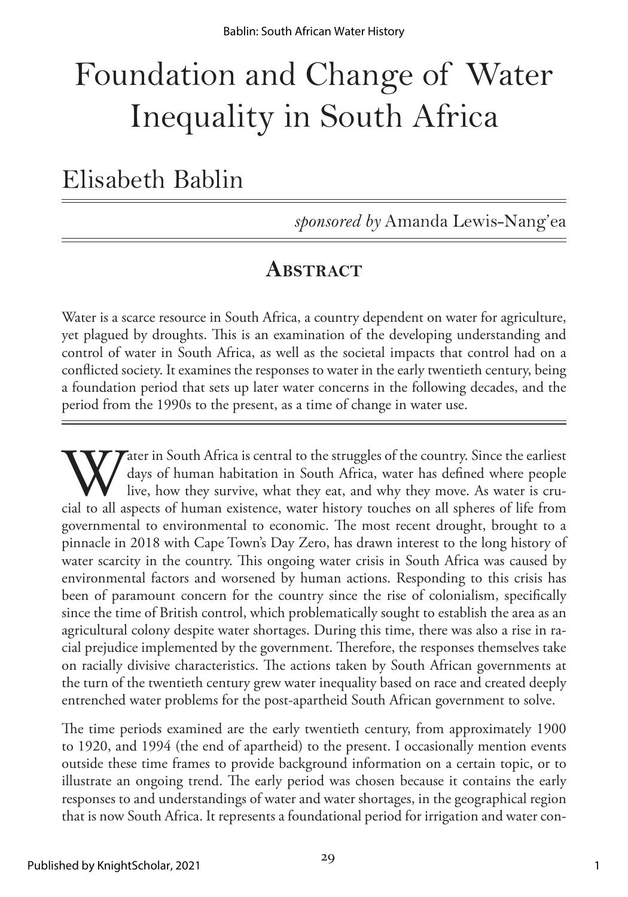# Foundation and Change of Water Inequality in South Africa

Elisabeth Bablin

*sponsored by* Amanda Lewis-Nang'ea

# **ABSTRACT**

Water is a scarce resource in South Africa, a country dependent on water for agriculture, yet plagued by droughts. This is an examination of the developing understanding and control of water in South Africa, as well as the societal impacts that control had on a conflicted society. It examines the responses to water in the early twentieth century, being a foundation period that sets up later water concerns in the following decades, and the period from the 1990s to the present, as a time of change in water use.

Water in South Africa is central to the struggles of the country. Since the earliest days of human habitation in South Africa, water has defined where people live, how they survive, what they eat, and why they move. As wat days of human habitation in South Africa, water has defined where people live, how they survive, what they eat, and why they move. As water is crugovernmental to environmental to economic. The most recent drought, brought to a pinnacle in 2018 with Cape Town's Day Zero, has drawn interest to the long history of water scarcity in the country. This ongoing water crisis in South Africa was caused by environmental factors and worsened by human actions. Responding to this crisis has been of paramount concern for the country since the rise of colonialism, specifically since the time of British control, which problematically sought to establish the area as an agricultural colony despite water shortages. During this time, there was also a rise in racial prejudice implemented by the government. Therefore, the responses themselves take on racially divisive characteristics. The actions taken by South African governments at the turn of the twentieth century grew water inequality based on race and created deeply entrenched water problems for the post-apartheid South African government to solve.

The time periods examined are the early twentieth century, from approximately 1900 to 1920, and 1994 (the end of apartheid) to the present. I occasionally mention events outside these time frames to provide background information on a certain topic, or to illustrate an ongoing trend. The early period was chosen because it contains the early responses to and understandings of water and water shortages, in the geographical region that is now South Africa. It represents a foundational period for irrigation and water con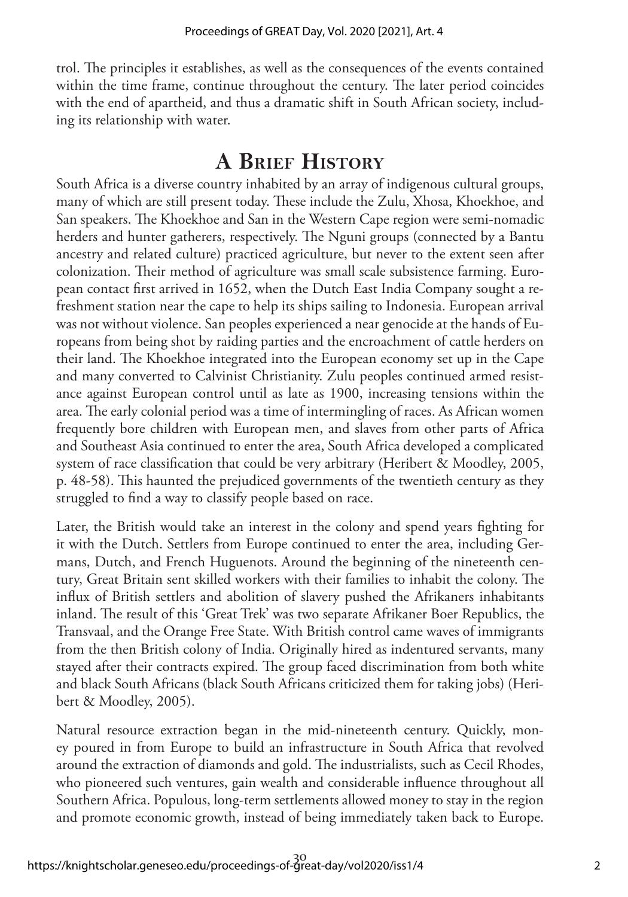trol. The principles it establishes, as well as the consequences of the events contained within the time frame, continue throughout the century. The later period coincides with the end of apartheid, and thus a dramatic shift in South African society, including its relationship with water.

# **A Brief History**

South Africa is a diverse country inhabited by an array of indigenous cultural groups, many of which are still present today. These include the Zulu, Xhosa, Khoekhoe, and San speakers. The Khoekhoe and San in the Western Cape region were semi-nomadic herders and hunter gatherers, respectively. The Nguni groups (connected by a Bantu ancestry and related culture) practiced agriculture, but never to the extent seen after colonization. Their method of agriculture was small scale subsistence farming. European contact first arrived in 1652, when the Dutch East India Company sought a refreshment station near the cape to help its ships sailing to Indonesia. European arrival was not without violence. San peoples experienced a near genocide at the hands of Europeans from being shot by raiding parties and the encroachment of cattle herders on their land. The Khoekhoe integrated into the European economy set up in the Cape and many converted to Calvinist Christianity. Zulu peoples continued armed resistance against European control until as late as 1900, increasing tensions within the area. The early colonial period was a time of intermingling of races. As African women frequently bore children with European men, and slaves from other parts of Africa and Southeast Asia continued to enter the area, South Africa developed a complicated system of race classification that could be very arbitrary (Heribert & Moodley, 2005, p. 48-58). This haunted the prejudiced governments of the twentieth century as they struggled to find a way to classify people based on race.

Later, the British would take an interest in the colony and spend years fighting for it with the Dutch. Settlers from Europe continued to enter the area, including Germans, Dutch, and French Huguenots. Around the beginning of the nineteenth century, Great Britain sent skilled workers with their families to inhabit the colony. The influx of British settlers and abolition of slavery pushed the Afrikaners inhabitants inland. The result of this 'Great Trek' was two separate Afrikaner Boer Republics, the Transvaal, and the Orange Free State. With British control came waves of immigrants from the then British colony of India. Originally hired as indentured servants, many stayed after their contracts expired. The group faced discrimination from both white and black South Africans (black South Africans criticized them for taking jobs) (Heribert & Moodley, 2005).

Natural resource extraction began in the mid-nineteenth century. Quickly, money poured in from Europe to build an infrastructure in South Africa that revolved around the extraction of diamonds and gold. The industrialists, such as Cecil Rhodes, who pioneered such ventures, gain wealth and considerable influence throughout all Southern Africa. Populous, long-term settlements allowed money to stay in the region and promote economic growth, instead of being immediately taken back to Europe.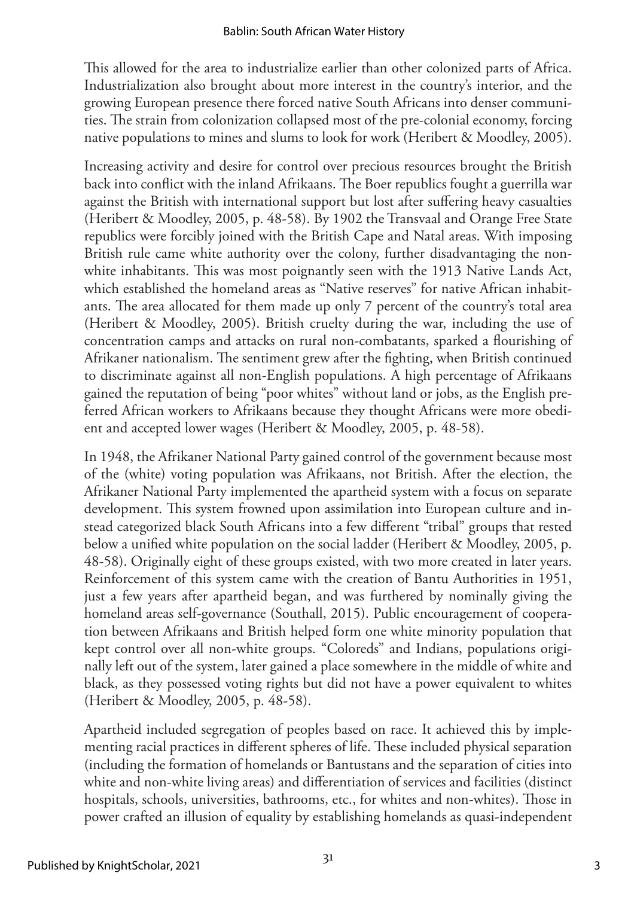This allowed for the area to industrialize earlier than other colonized parts of Africa. Industrialization also brought about more interest in the country's interior, and the growing European presence there forced native South Africans into denser communities. The strain from colonization collapsed most of the pre-colonial economy, forcing native populations to mines and slums to look for work (Heribert & Moodley, 2005).

Increasing activity and desire for control over precious resources brought the British back into conflict with the inland Afrikaans. The Boer republics fought a guerrilla war against the British with international support but lost after suffering heavy casualties (Heribert & Moodley, 2005, p. 48-58). By 1902 the Transvaal and Orange Free State republics were forcibly joined with the British Cape and Natal areas. With imposing British rule came white authority over the colony, further disadvantaging the nonwhite inhabitants. This was most poignantly seen with the 1913 Native Lands Act, which established the homeland areas as "Native reserves" for native African inhabitants. The area allocated for them made up only 7 percent of the country's total area (Heribert & Moodley, 2005). British cruelty during the war, including the use of concentration camps and attacks on rural non-combatants, sparked a flourishing of Afrikaner nationalism. The sentiment grew after the fighting, when British continued to discriminate against all non-English populations. A high percentage of Afrikaans gained the reputation of being "poor whites" without land or jobs, as the English preferred African workers to Afrikaans because they thought Africans were more obedient and accepted lower wages (Heribert & Moodley, 2005, p. 48-58).

In 1948, the Afrikaner National Party gained control of the government because most of the (white) voting population was Afrikaans, not British. After the election, the Afrikaner National Party implemented the apartheid system with a focus on separate development. This system frowned upon assimilation into European culture and instead categorized black South Africans into a few different "tribal" groups that rested below a unified white population on the social ladder (Heribert & Moodley, 2005, p. 48-58). Originally eight of these groups existed, with two more created in later years. Reinforcement of this system came with the creation of Bantu Authorities in 1951, just a few years after apartheid began, and was furthered by nominally giving the homeland areas self-governance (Southall, 2015). Public encouragement of cooperation between Afrikaans and British helped form one white minority population that kept control over all non-white groups. "Coloreds" and Indians, populations originally left out of the system, later gained a place somewhere in the middle of white and black, as they possessed voting rights but did not have a power equivalent to whites (Heribert & Moodley, 2005, p. 48-58).

Apartheid included segregation of peoples based on race. It achieved this by implementing racial practices in different spheres of life. These included physical separation (including the formation of homelands or Bantustans and the separation of cities into white and non-white living areas) and differentiation of services and facilities (distinct hospitals, schools, universities, bathrooms, etc., for whites and non-whites). Those in power crafted an illusion of equality by establishing homelands as quasi-independent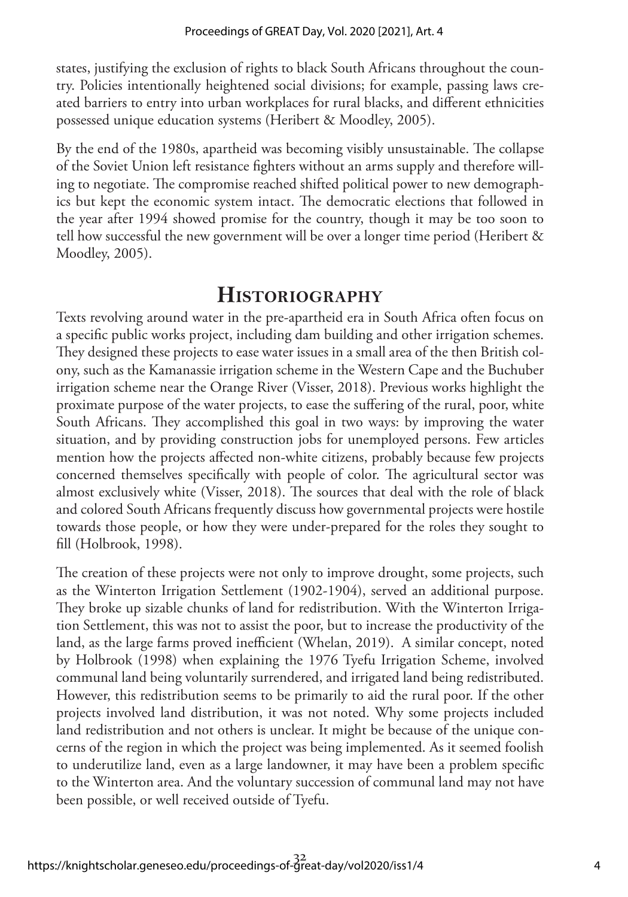states, justifying the exclusion of rights to black South Africans throughout the country. Policies intentionally heightened social divisions; for example, passing laws created barriers to entry into urban workplaces for rural blacks, and different ethnicities possessed unique education systems (Heribert & Moodley, 2005).

By the end of the 1980s, apartheid was becoming visibly unsustainable. The collapse of the Soviet Union left resistance fighters without an arms supply and therefore willing to negotiate. The compromise reached shifted political power to new demographics but kept the economic system intact. The democratic elections that followed in the year after 1994 showed promise for the country, though it may be too soon to tell how successful the new government will be over a longer time period (Heribert & Moodley, 2005).

### **Historiography**

Texts revolving around water in the pre-apartheid era in South Africa often focus on a specific public works project, including dam building and other irrigation schemes. They designed these projects to ease water issues in a small area of the then British colony, such as the Kamanassie irrigation scheme in the Western Cape and the Buchuber irrigation scheme near the Orange River (Visser, 2018). Previous works highlight the proximate purpose of the water projects, to ease the suffering of the rural, poor, white South Africans. They accomplished this goal in two ways: by improving the water situation, and by providing construction jobs for unemployed persons. Few articles mention how the projects affected non-white citizens, probably because few projects concerned themselves specifically with people of color. The agricultural sector was almost exclusively white (Visser, 2018). The sources that deal with the role of black and colored South Africans frequently discuss how governmental projects were hostile towards those people, or how they were under-prepared for the roles they sought to fill (Holbrook, 1998).

The creation of these projects were not only to improve drought, some projects, such as the Winterton Irrigation Settlement (1902-1904), served an additional purpose. They broke up sizable chunks of land for redistribution. With the Winterton Irrigation Settlement, this was not to assist the poor, but to increase the productivity of the land, as the large farms proved inefficient (Whelan, 2019). A similar concept, noted by Holbrook (1998) when explaining the 1976 Tyefu Irrigation Scheme, involved communal land being voluntarily surrendered, and irrigated land being redistributed. However, this redistribution seems to be primarily to aid the rural poor. If the other projects involved land distribution, it was not noted. Why some projects included land redistribution and not others is unclear. It might be because of the unique concerns of the region in which the project was being implemented. As it seemed foolish to underutilize land, even as a large landowner, it may have been a problem specific to the Winterton area. And the voluntary succession of communal land may not have been possible, or well received outside of Tyefu.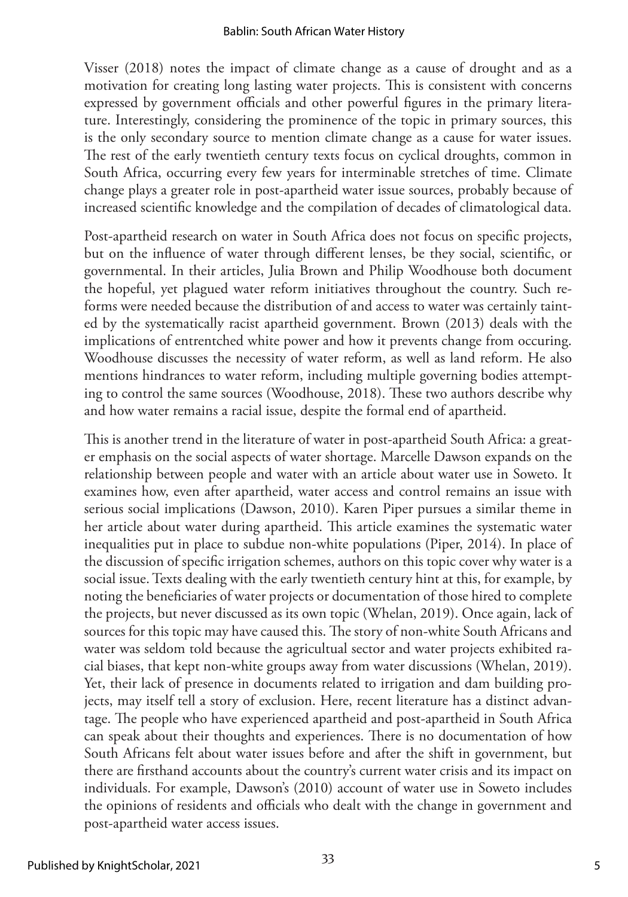Visser (2018) notes the impact of climate change as a cause of drought and as a motivation for creating long lasting water projects. This is consistent with concerns expressed by government officials and other powerful figures in the primary literature. Interestingly, considering the prominence of the topic in primary sources, this is the only secondary source to mention climate change as a cause for water issues. The rest of the early twentieth century texts focus on cyclical droughts, common in South Africa, occurring every few years for interminable stretches of time. Climate change plays a greater role in post-apartheid water issue sources, probably because of increased scientific knowledge and the compilation of decades of climatological data.

Post-apartheid research on water in South Africa does not focus on specific projects, but on the influence of water through different lenses, be they social, scientific, or governmental. In their articles, Julia Brown and Philip Woodhouse both document the hopeful, yet plagued water reform initiatives throughout the country. Such reforms were needed because the distribution of and access to water was certainly tainted by the systematically racist apartheid government. Brown (2013) deals with the implications of entrentched white power and how it prevents change from occuring. Woodhouse discusses the necessity of water reform, as well as land reform. He also mentions hindrances to water reform, including multiple governing bodies attempting to control the same sources (Woodhouse, 2018). These two authors describe why and how water remains a racial issue, despite the formal end of apartheid.

This is another trend in the literature of water in post-apartheid South Africa: a greater emphasis on the social aspects of water shortage. Marcelle Dawson expands on the relationship between people and water with an article about water use in Soweto. It examines how, even after apartheid, water access and control remains an issue with serious social implications (Dawson, 2010). Karen Piper pursues a similar theme in her article about water during apartheid. This article examines the systematic water inequalities put in place to subdue non-white populations (Piper, 2014). In place of the discussion of specific irrigation schemes, authors on this topic cover why water is a social issue. Texts dealing with the early twentieth century hint at this, for example, by noting the beneficiaries of water projects or documentation of those hired to complete the projects, but never discussed as its own topic (Whelan, 2019). Once again, lack of sources for this topic may have caused this. The story of non-white South Africans and water was seldom told because the agricultual sector and water projects exhibited racial biases, that kept non-white groups away from water discussions (Whelan, 2019). Yet, their lack of presence in documents related to irrigation and dam building projects, may itself tell a story of exclusion. Here, recent literature has a distinct advantage. The people who have experienced apartheid and post-apartheid in South Africa can speak about their thoughts and experiences. There is no documentation of how South Africans felt about water issues before and after the shift in government, but there are firsthand accounts about the country's current water crisis and its impact on individuals. For example, Dawson's (2010) account of water use in Soweto includes the opinions of residents and officials who dealt with the change in government and post-apartheid water access issues.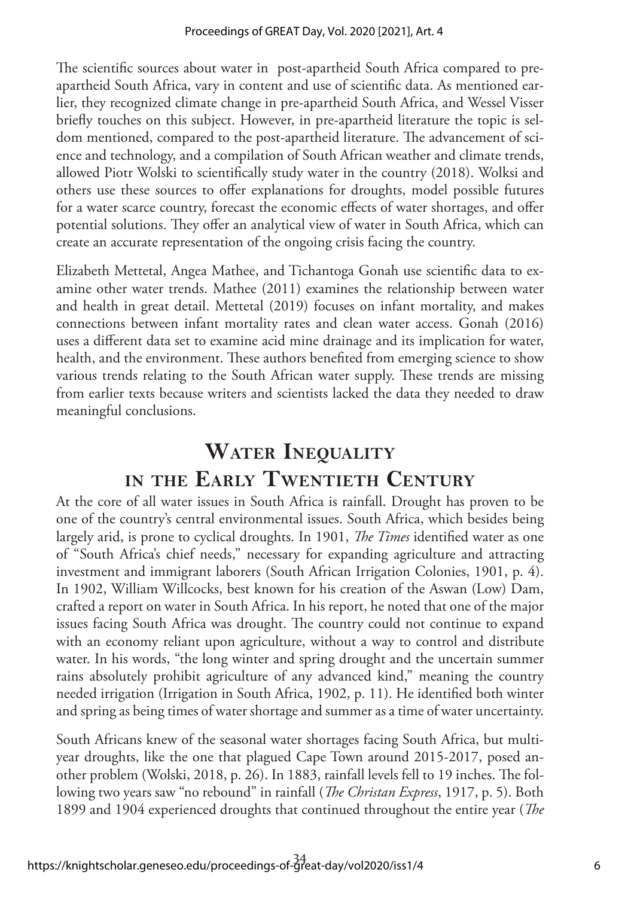The scientific sources about water in post-apartheid South Africa compared to preapartheid South Africa, vary in content and use of scientific data. As mentioned earlier, they recognized climate change in pre-apartheid South Africa, and Wessel Visser briefly touches on this subject. However, in pre-apartheid literature the topic is seldom mentioned, compared to the post-apartheid literature. The advancement of science and technology, and a compilation of South African weather and climate trends, allowed Piotr Wolski to scientifically study water in the country (2018). Wolksi and others use these sources to offer explanations for droughts, model possible futures for a water scarce country, forecast the economic effects of water shortages, and offer potential solutions. They offer an analytical view of water in South Africa, which can create an accurate representation of the ongoing crisis facing the country.

Elizabeth Mettetal, Angea Mathee, and Tichantoga Gonah use scientific data to examine other water trends. Mathee (2011) examines the relationship between water and health in great detail. Mettetal (2019) focuses on infant mortality, and makes connections between infant mortality rates and clean water access. Gonah (2016) uses a different data set to examine acid mine drainage and its implication for water, health, and the environment. These authors benefited from emerging science to show various trends relating to the South African water supply. These trends are missing from earlier texts because writers and scientists lacked the data they needed to draw meaningful conclusions.

# **Water Inequality in the Early Twentieth Century**

At the core of all water issues in South Africa is rainfall. Drought has proven to be one of the country's central environmental issues. South Africa, which besides being largely arid, is prone to cyclical droughts. In 1901, *The Times* identified water as one of "South Africa's chief needs," necessary for expanding agriculture and attracting investment and immigrant laborers (South African Irrigation Colonies, 1901, p. 4). In 1902, William Willcocks, best known for his creation of the Aswan (Low) Dam, crafted a report on water in South Africa. In his report, he noted that one of the major issues facing South Africa was drought. The country could not continue to expand with an economy reliant upon agriculture, without a way to control and distribute water. In his words, "the long winter and spring drought and the uncertain summer rains absolutely prohibit agriculture of any advanced kind," meaning the country needed irrigation (Irrigation in South Africa, 1902, p. 11). He identified both winter and spring as being times of water shortage and summer as a time of water uncertainty.

South Africans knew of the seasonal water shortages facing South Africa, but multiyear droughts, like the one that plagued Cape Town around 2015-2017, posed another problem (Wolski, 2018, p. 26). In 1883, rainfall levels fell to 19 inches. The following two years saw "no rebound" in rainfall (*The Christan Express*, 1917, p. 5). Both 1899 and 1904 experienced droughts that continued throughout the entire year (*The*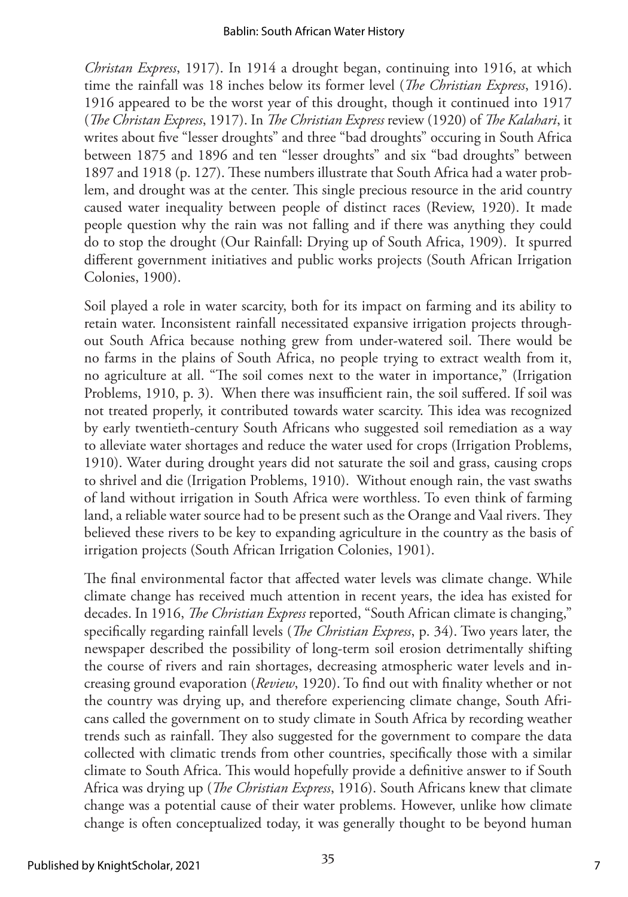*Christan Express*, 1917). In 1914 a drought began, continuing into 1916, at which time the rainfall was 18 inches below its former level (*The Christian Express*, 1916). 1916 appeared to be the worst year of this drought, though it continued into 1917 (*The Christan Express*, 1917). In *The Christian Express* review (1920) of *The Kalahari*, it writes about five "lesser droughts" and three "bad droughts" occuring in South Africa between 1875 and 1896 and ten "lesser droughts" and six "bad droughts" between 1897 and 1918 (p. 127). These numbers illustrate that South Africa had a water problem, and drought was at the center. This single precious resource in the arid country caused water inequality between people of distinct races (Review, 1920). It made people question why the rain was not falling and if there was anything they could do to stop the drought (Our Rainfall: Drying up of South Africa, 1909). It spurred different government initiatives and public works projects (South African Irrigation Colonies, 1900).

Soil played a role in water scarcity, both for its impact on farming and its ability to retain water. Inconsistent rainfall necessitated expansive irrigation projects throughout South Africa because nothing grew from under-watered soil. There would be no farms in the plains of South Africa, no people trying to extract wealth from it, no agriculture at all. "The soil comes next to the water in importance," (Irrigation Problems, 1910, p. 3). When there was insufficient rain, the soil suffered. If soil was not treated properly, it contributed towards water scarcity. This idea was recognized by early twentieth-century South Africans who suggested soil remediation as a way to alleviate water shortages and reduce the water used for crops (Irrigation Problems, 1910). Water during drought years did not saturate the soil and grass, causing crops to shrivel and die (Irrigation Problems, 1910). Without enough rain, the vast swaths of land without irrigation in South Africa were worthless. To even think of farming land, a reliable water source had to be present such as the Orange and Vaal rivers. They believed these rivers to be key to expanding agriculture in the country as the basis of irrigation projects (South African Irrigation Colonies, 1901).

The final environmental factor that affected water levels was climate change. While climate change has received much attention in recent years, the idea has existed for decades. In 1916, *The Christian Express* reported, "South African climate is changing," specifically regarding rainfall levels (*The Christian Express*, p. 34). Two years later, the newspaper described the possibility of long-term soil erosion detrimentally shifting the course of rivers and rain shortages, decreasing atmospheric water levels and increasing ground evaporation (*Review*, 1920). To find out with finality whether or not the country was drying up, and therefore experiencing climate change, South Africans called the government on to study climate in South Africa by recording weather trends such as rainfall. They also suggested for the government to compare the data collected with climatic trends from other countries, specifically those with a similar climate to South Africa. This would hopefully provide a definitive answer to if South Africa was drying up (*The Christian Express*, 1916). South Africans knew that climate change was a potential cause of their water problems. However, unlike how climate change is often conceptualized today, it was generally thought to be beyond human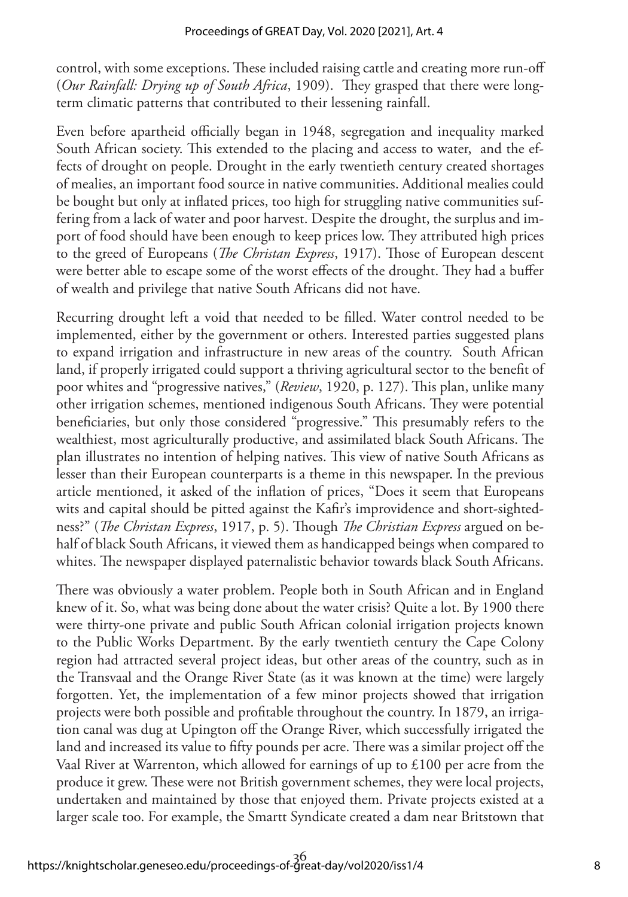control, with some exceptions. These included raising cattle and creating more run-off (*Our Rainfall: Drying up of South Africa*, 1909). They grasped that there were longterm climatic patterns that contributed to their lessening rainfall.

Even before apartheid officially began in 1948, segregation and inequality marked South African society. This extended to the placing and access to water, and the effects of drought on people. Drought in the early twentieth century created shortages of mealies, an important food source in native communities. Additional mealies could be bought but only at inflated prices, too high for struggling native communities suffering from a lack of water and poor harvest. Despite the drought, the surplus and import of food should have been enough to keep prices low. They attributed high prices to the greed of Europeans (*The Christan Express*, 1917). Those of European descent were better able to escape some of the worst effects of the drought. They had a buffer of wealth and privilege that native South Africans did not have.

Recurring drought left a void that needed to be filled. Water control needed to be implemented, either by the government or others. Interested parties suggested plans to expand irrigation and infrastructure in new areas of the country. South African land, if properly irrigated could support a thriving agricultural sector to the benefit of poor whites and "progressive natives," (*Review*, 1920, p. 127). This plan, unlike many other irrigation schemes, mentioned indigenous South Africans. They were potential beneficiaries, but only those considered "progressive." This presumably refers to the wealthiest, most agriculturally productive, and assimilated black South Africans. The plan illustrates no intention of helping natives. This view of native South Africans as lesser than their European counterparts is a theme in this newspaper. In the previous article mentioned, it asked of the inflation of prices, "Does it seem that Europeans wits and capital should be pitted against the Kafir's improvidence and short-sightedness?" (*The Christan Express*, 1917, p. 5). Though *The Christian Express* argued on behalf of black South Africans, it viewed them as handicapped beings when compared to whites. The newspaper displayed paternalistic behavior towards black South Africans.

There was obviously a water problem. People both in South African and in England knew of it. So, what was being done about the water crisis? Quite a lot. By 1900 there were thirty-one private and public South African colonial irrigation projects known to the Public Works Department. By the early twentieth century the Cape Colony region had attracted several project ideas, but other areas of the country, such as in the Transvaal and the Orange River State (as it was known at the time) were largely forgotten. Yet, the implementation of a few minor projects showed that irrigation projects were both possible and profitable throughout the country. In 1879, an irrigation canal was dug at Upington off the Orange River, which successfully irrigated the land and increased its value to fifty pounds per acre. There was a similar project off the Vaal River at Warrenton, which allowed for earnings of up to £100 per acre from the produce it grew. These were not British government schemes, they were local projects, undertaken and maintained by those that enjoyed them. Private projects existed at a larger scale too. For example, the Smartt Syndicate created a dam near Britstown that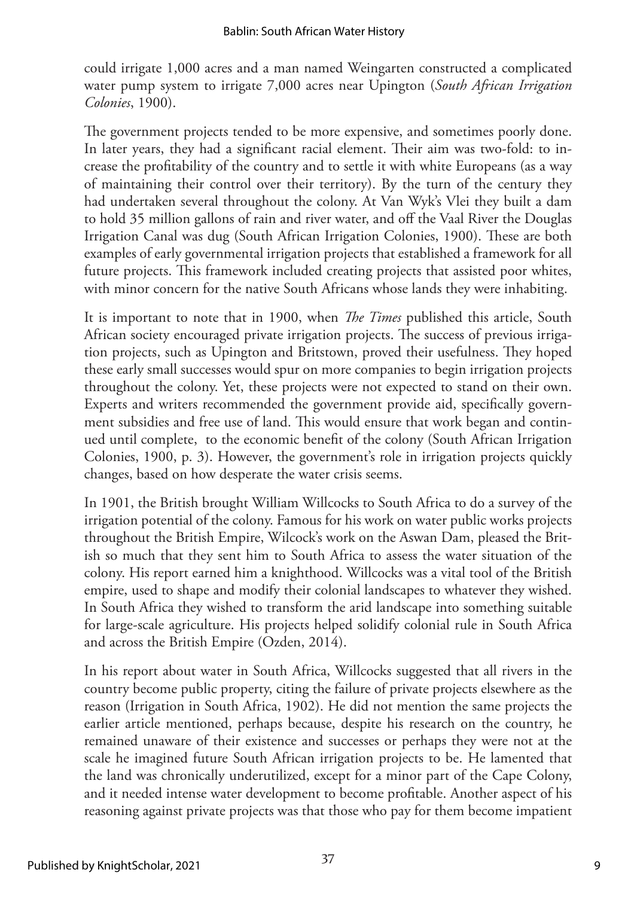could irrigate 1,000 acres and a man named Weingarten constructed a complicated water pump system to irrigate 7,000 acres near Upington (*South African Irrigation Colonies*, 1900).

The government projects tended to be more expensive, and sometimes poorly done. In later years, they had a significant racial element. Their aim was two-fold: to increase the profitability of the country and to settle it with white Europeans (as a way of maintaining their control over their territory). By the turn of the century they had undertaken several throughout the colony. At Van Wyk's Vlei they built a dam to hold 35 million gallons of rain and river water, and off the Vaal River the Douglas Irrigation Canal was dug (South African Irrigation Colonies, 1900). These are both examples of early governmental irrigation projects that established a framework for all future projects. This framework included creating projects that assisted poor whites, with minor concern for the native South Africans whose lands they were inhabiting.

It is important to note that in 1900, when *The Times* published this article, South African society encouraged private irrigation projects. The success of previous irrigation projects, such as Upington and Britstown, proved their usefulness. They hoped these early small successes would spur on more companies to begin irrigation projects throughout the colony. Yet, these projects were not expected to stand on their own. Experts and writers recommended the government provide aid, specifically government subsidies and free use of land. This would ensure that work began and continued until complete, to the economic benefit of the colony (South African Irrigation Colonies, 1900, p. 3). However, the government's role in irrigation projects quickly changes, based on how desperate the water crisis seems.

In 1901, the British brought William Willcocks to South Africa to do a survey of the irrigation potential of the colony. Famous for his work on water public works projects throughout the British Empire, Wilcock's work on the Aswan Dam, pleased the British so much that they sent him to South Africa to assess the water situation of the colony. His report earned him a knighthood. Willcocks was a vital tool of the British empire, used to shape and modify their colonial landscapes to whatever they wished. In South Africa they wished to transform the arid landscape into something suitable for large-scale agriculture. His projects helped solidify colonial rule in South Africa and across the British Empire (Ozden, 2014).

In his report about water in South Africa, Willcocks suggested that all rivers in the country become public property, citing the failure of private projects elsewhere as the reason (Irrigation in South Africa, 1902). He did not mention the same projects the earlier article mentioned, perhaps because, despite his research on the country, he remained unaware of their existence and successes or perhaps they were not at the scale he imagined future South African irrigation projects to be. He lamented that the land was chronically underutilized, except for a minor part of the Cape Colony, and it needed intense water development to become profitable. Another aspect of his reasoning against private projects was that those who pay for them become impatient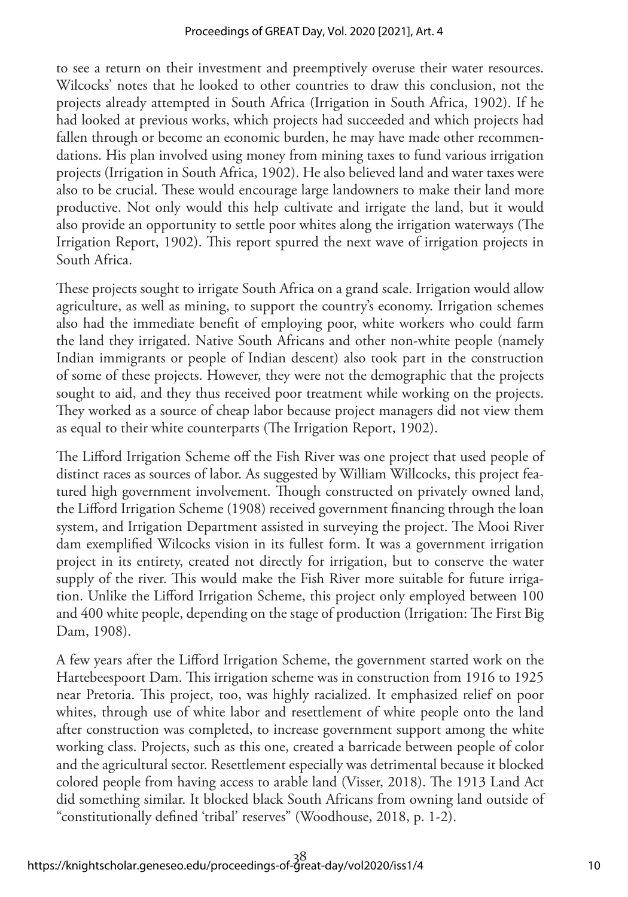to see a return on their investment and preemptively overuse their water resources. Wilcocks' notes that he looked to other countries to draw this conclusion, not the projects already attempted in South Africa (Irrigation in South Africa, 1902). If he had looked at previous works, which projects had succeeded and which projects had fallen through or become an economic burden, he may have made other recommendations. His plan involved using money from mining taxes to fund various irrigation projects (Irrigation in South Africa, 1902). He also believed land and water taxes were also to be crucial. These would encourage large landowners to make their land more productive. Not only would this help cultivate and irrigate the land, but it would also provide an opportunity to settle poor whites along the irrigation waterways (The Irrigation Report, 1902). This report spurred the next wave of irrigation projects in South Africa.

These projects sought to irrigate South Africa on a grand scale. Irrigation would allow agriculture, as well as mining, to support the country's economy. Irrigation schemes also had the immediate benefit of employing poor, white workers who could farm the land they irrigated. Native South Africans and other non-white people (namely Indian immigrants or people of Indian descent) also took part in the construction of some of these projects. However, they were not the demographic that the projects sought to aid, and they thus received poor treatment while working on the projects. They worked as a source of cheap labor because project managers did not view them as equal to their white counterparts (The Irrigation Report, 1902).

The Lifford Irrigation Scheme off the Fish River was one project that used people of distinct races as sources of labor. As suggested by William Willcocks, this project featured high government involvement. Though constructed on privately owned land, the Lifford Irrigation Scheme (1908) received government financing through the loan system, and Irrigation Department assisted in surveying the project. The Mooi River dam exemplified Wilcocks vision in its fullest form. It was a government irrigation project in its entirety, created not directly for irrigation, but to conserve the water supply of the river. This would make the Fish River more suitable for future irrigation. Unlike the Lifford Irrigation Scheme, this project only employed between 100 and 400 white people, depending on the stage of production (Irrigation: The First Big Dam, 1908).

A few years after the Lifford Irrigation Scheme, the government started work on the Hartebeespoort Dam. This irrigation scheme was in construction from 1916 to 1925 near Pretoria. This project, too, was highly racialized. It emphasized relief on poor whites, through use of white labor and resettlement of white people onto the land after construction was completed, to increase government support among the white working class. Projects, such as this one, created a barricade between people of color and the agricultural sector. Resettlement especially was detrimental because it blocked colored people from having access to arable land (Visser, 2018). The 1913 Land Act did something similar. It blocked black South Africans from owning land outside of "constitutionally defined 'tribal' reserves" (Woodhouse, 2018, p. 1-2).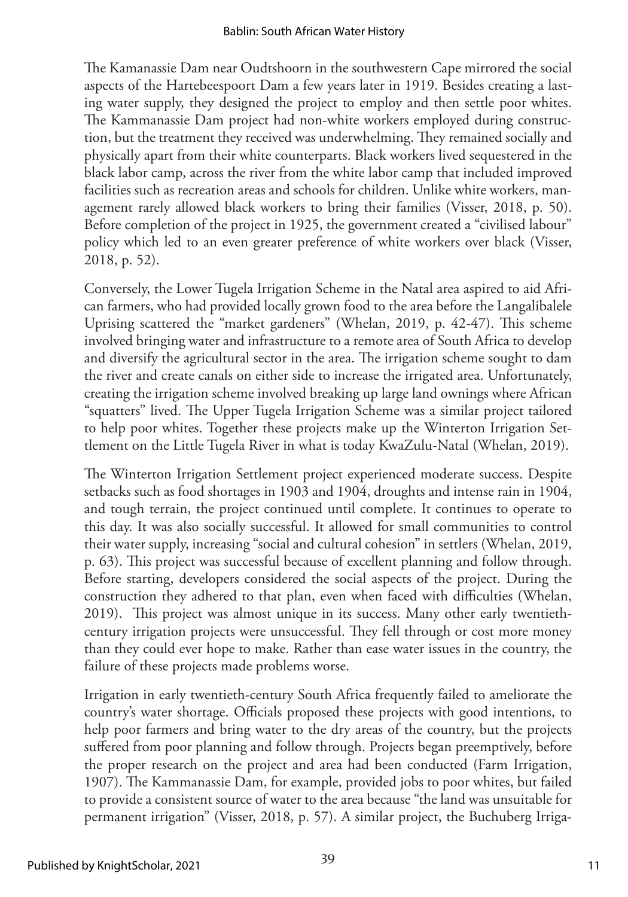The Kamanassie Dam near Oudtshoorn in the southwestern Cape mirrored the social aspects of the Hartebeespoort Dam a few years later in 1919. Besides creating a lasting water supply, they designed the project to employ and then settle poor whites. The Kammanassie Dam project had non-white workers employed during construction, but the treatment they received was underwhelming. They remained socially and physically apart from their white counterparts. Black workers lived sequestered in the black labor camp, across the river from the white labor camp that included improved facilities such as recreation areas and schools for children. Unlike white workers, management rarely allowed black workers to bring their families (Visser, 2018, p. 50). Before completion of the project in 1925, the government created a "civilised labour" policy which led to an even greater preference of white workers over black (Visser, 2018, p. 52).

Conversely, the Lower Tugela Irrigation Scheme in the Natal area aspired to aid African farmers, who had provided locally grown food to the area before the Langalibalele Uprising scattered the "market gardeners" (Whelan, 2019, p. 42-47). This scheme involved bringing water and infrastructure to a remote area of South Africa to develop and diversify the agricultural sector in the area. The irrigation scheme sought to dam the river and create canals on either side to increase the irrigated area. Unfortunately, creating the irrigation scheme involved breaking up large land ownings where African "squatters" lived. The Upper Tugela Irrigation Scheme was a similar project tailored to help poor whites. Together these projects make up the Winterton Irrigation Settlement on the Little Tugela River in what is today KwaZulu-Natal (Whelan, 2019).

The Winterton Irrigation Settlement project experienced moderate success. Despite setbacks such as food shortages in 1903 and 1904, droughts and intense rain in 1904, and tough terrain, the project continued until complete. It continues to operate to this day. It was also socially successful. It allowed for small communities to control their water supply, increasing "social and cultural cohesion" in settlers (Whelan, 2019, p. 63). This project was successful because of excellent planning and follow through. Before starting, developers considered the social aspects of the project. During the construction they adhered to that plan, even when faced with difficulties (Whelan, 2019). This project was almost unique in its success. Many other early twentiethcentury irrigation projects were unsuccessful. They fell through or cost more money than they could ever hope to make. Rather than ease water issues in the country, the failure of these projects made problems worse.

Irrigation in early twentieth-century South Africa frequently failed to ameliorate the country's water shortage. Officials proposed these projects with good intentions, to help poor farmers and bring water to the dry areas of the country, but the projects suffered from poor planning and follow through. Projects began preemptively, before the proper research on the project and area had been conducted (Farm Irrigation, 1907). The Kammanassie Dam, for example, provided jobs to poor whites, but failed to provide a consistent source of water to the area because "the land was unsuitable for permanent irrigation" (Visser, 2018, p. 57). A similar project, the Buchuberg Irriga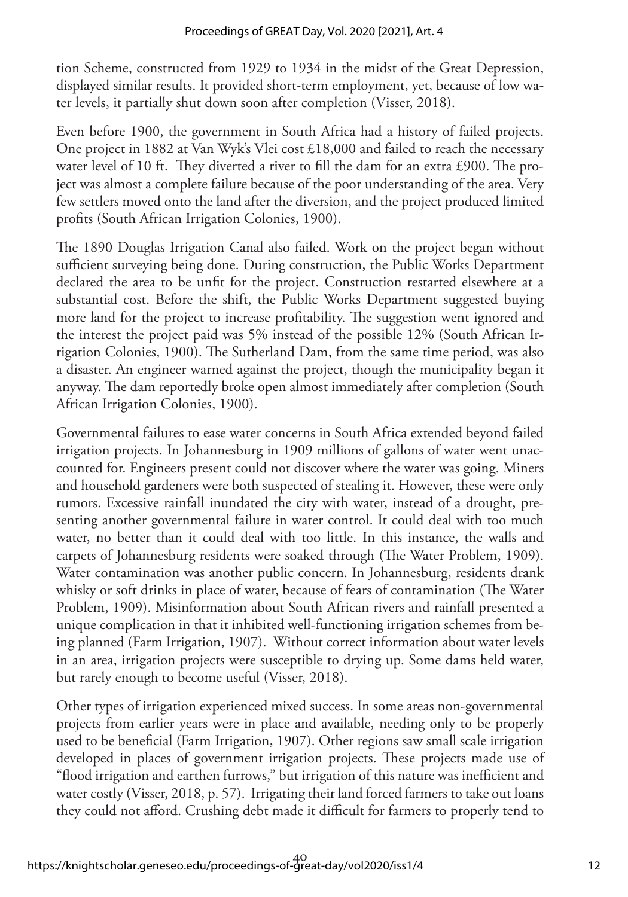tion Scheme, constructed from 1929 to 1934 in the midst of the Great Depression, displayed similar results. It provided short-term employment, yet, because of low water levels, it partially shut down soon after completion (Visser, 2018).

Even before 1900, the government in South Africa had a history of failed projects. One project in 1882 at Van Wyk's Vlei cost £18,000 and failed to reach the necessary water level of 10 ft. They diverted a river to fill the dam for an extra £900. The project was almost a complete failure because of the poor understanding of the area. Very few settlers moved onto the land after the diversion, and the project produced limited profits (South African Irrigation Colonies, 1900).

The 1890 Douglas Irrigation Canal also failed. Work on the project began without sufficient surveying being done. During construction, the Public Works Department declared the area to be unfit for the project. Construction restarted elsewhere at a substantial cost. Before the shift, the Public Works Department suggested buying more land for the project to increase profitability. The suggestion went ignored and the interest the project paid was 5% instead of the possible 12% (South African Irrigation Colonies, 1900). The Sutherland Dam, from the same time period, was also a disaster. An engineer warned against the project, though the municipality began it anyway. The dam reportedly broke open almost immediately after completion (South African Irrigation Colonies, 1900).

Governmental failures to ease water concerns in South Africa extended beyond failed irrigation projects. In Johannesburg in 1909 millions of gallons of water went unaccounted for. Engineers present could not discover where the water was going. Miners and household gardeners were both suspected of stealing it. However, these were only rumors. Excessive rainfall inundated the city with water, instead of a drought, presenting another governmental failure in water control. It could deal with too much water, no better than it could deal with too little. In this instance, the walls and carpets of Johannesburg residents were soaked through (The Water Problem, 1909). Water contamination was another public concern. In Johannesburg, residents drank whisky or soft drinks in place of water, because of fears of contamination (The Water Problem, 1909). Misinformation about South African rivers and rainfall presented a unique complication in that it inhibited well-functioning irrigation schemes from being planned (Farm Irrigation, 1907). Without correct information about water levels in an area, irrigation projects were susceptible to drying up. Some dams held water, but rarely enough to become useful (Visser, 2018).

Other types of irrigation experienced mixed success. In some areas non-governmental projects from earlier years were in place and available, needing only to be properly used to be beneficial (Farm Irrigation, 1907). Other regions saw small scale irrigation developed in places of government irrigation projects. These projects made use of "flood irrigation and earthen furrows," but irrigation of this nature was inefficient and water costly (Visser, 2018, p. 57). Irrigating their land forced farmers to take out loans they could not afford. Crushing debt made it difficult for farmers to properly tend to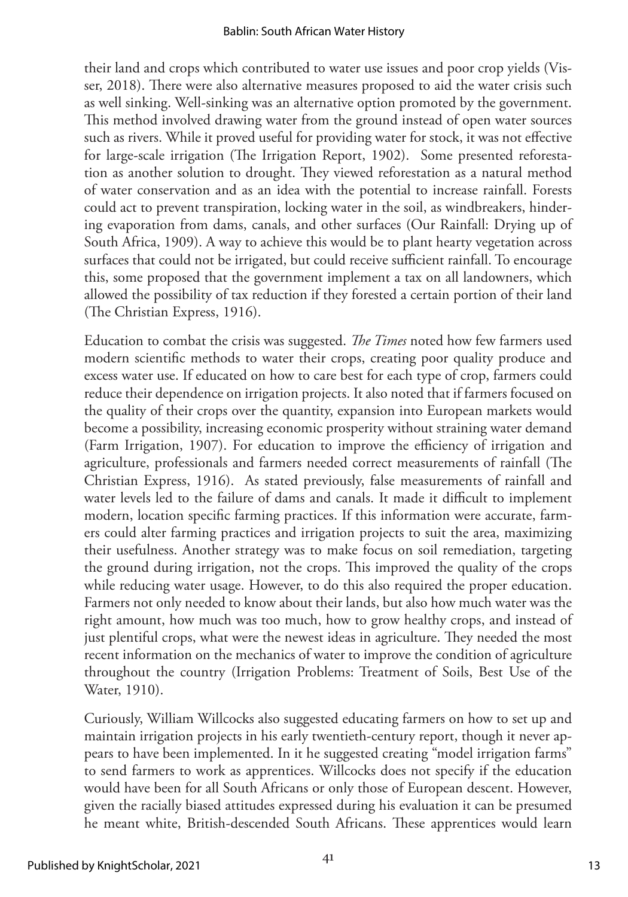their land and crops which contributed to water use issues and poor crop yields (Visser, 2018). There were also alternative measures proposed to aid the water crisis such as well sinking. Well-sinking was an alternative option promoted by the government. This method involved drawing water from the ground instead of open water sources such as rivers. While it proved useful for providing water for stock, it was not effective for large-scale irrigation (The Irrigation Report, 1902). Some presented reforestation as another solution to drought. They viewed reforestation as a natural method of water conservation and as an idea with the potential to increase rainfall. Forests could act to prevent transpiration, locking water in the soil, as windbreakers, hindering evaporation from dams, canals, and other surfaces (Our Rainfall: Drying up of South Africa, 1909). A way to achieve this would be to plant hearty vegetation across surfaces that could not be irrigated, but could receive sufficient rainfall. To encourage this, some proposed that the government implement a tax on all landowners, which allowed the possibility of tax reduction if they forested a certain portion of their land (The Christian Express, 1916).

Education to combat the crisis was suggested. *The Times* noted how few farmers used modern scientific methods to water their crops, creating poor quality produce and excess water use. If educated on how to care best for each type of crop, farmers could reduce their dependence on irrigation projects. It also noted that if farmers focused on the quality of their crops over the quantity, expansion into European markets would become a possibility, increasing economic prosperity without straining water demand (Farm Irrigation, 1907). For education to improve the efficiency of irrigation and agriculture, professionals and farmers needed correct measurements of rainfall (The Christian Express, 1916). As stated previously, false measurements of rainfall and water levels led to the failure of dams and canals. It made it difficult to implement modern, location specific farming practices. If this information were accurate, farmers could alter farming practices and irrigation projects to suit the area, maximizing their usefulness. Another strategy was to make focus on soil remediation, targeting the ground during irrigation, not the crops. This improved the quality of the crops while reducing water usage. However, to do this also required the proper education. Farmers not only needed to know about their lands, but also how much water was the right amount, how much was too much, how to grow healthy crops, and instead of just plentiful crops, what were the newest ideas in agriculture. They needed the most recent information on the mechanics of water to improve the condition of agriculture throughout the country (Irrigation Problems: Treatment of Soils, Best Use of the Water, 1910).

Curiously, William Willcocks also suggested educating farmers on how to set up and maintain irrigation projects in his early twentieth-century report, though it never appears to have been implemented. In it he suggested creating "model irrigation farms" to send farmers to work as apprentices. Willcocks does not specify if the education would have been for all South Africans or only those of European descent. However, given the racially biased attitudes expressed during his evaluation it can be presumed he meant white, British-descended South Africans. These apprentices would learn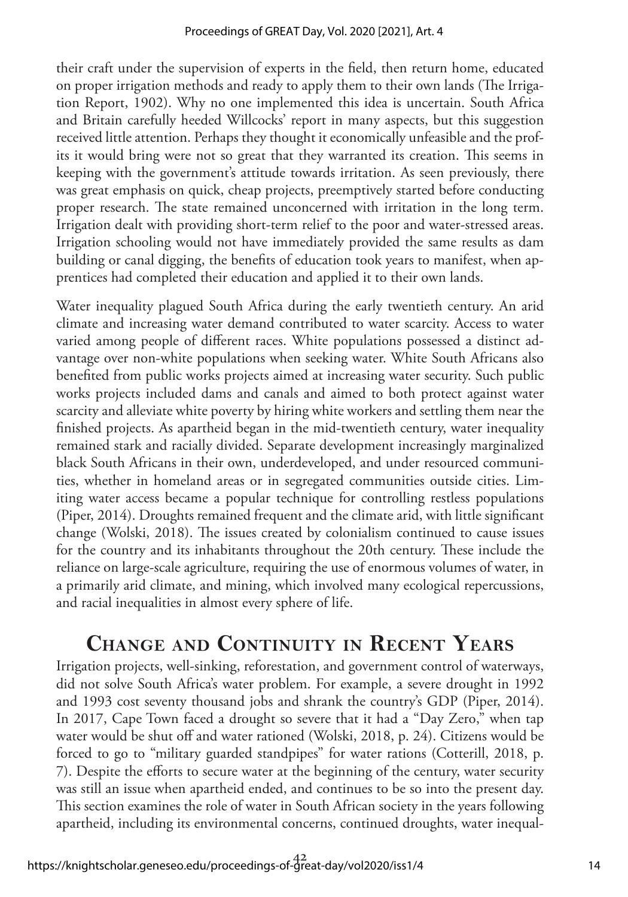their craft under the supervision of experts in the field, then return home, educated on proper irrigation methods and ready to apply them to their own lands (The Irrigation Report, 1902). Why no one implemented this idea is uncertain. South Africa and Britain carefully heeded Willcocks' report in many aspects, but this suggestion received little attention. Perhaps they thought it economically unfeasible and the profits it would bring were not so great that they warranted its creation. This seems in keeping with the government's attitude towards irritation. As seen previously, there was great emphasis on quick, cheap projects, preemptively started before conducting proper research. The state remained unconcerned with irritation in the long term. Irrigation dealt with providing short-term relief to the poor and water-stressed areas. Irrigation schooling would not have immediately provided the same results as dam building or canal digging, the benefits of education took years to manifest, when apprentices had completed their education and applied it to their own lands.

Water inequality plagued South Africa during the early twentieth century. An arid climate and increasing water demand contributed to water scarcity. Access to water varied among people of different races. White populations possessed a distinct advantage over non-white populations when seeking water. White South Africans also benefited from public works projects aimed at increasing water security. Such public works projects included dams and canals and aimed to both protect against water scarcity and alleviate white poverty by hiring white workers and settling them near the finished projects. As apartheid began in the mid-twentieth century, water inequality remained stark and racially divided. Separate development increasingly marginalized black South Africans in their own, underdeveloped, and under resourced communities, whether in homeland areas or in segregated communities outside cities. Limiting water access became a popular technique for controlling restless populations (Piper, 2014). Droughts remained frequent and the climate arid, with little significant change (Wolski, 2018). The issues created by colonialism continued to cause issues for the country and its inhabitants throughout the 20th century. These include the reliance on large-scale agriculture, requiring the use of enormous volumes of water, in a primarily arid climate, and mining, which involved many ecological repercussions, and racial inequalities in almost every sphere of life.

### **Change and Continuity in Recent Years**

Irrigation projects, well-sinking, reforestation, and government control of waterways, did not solve South Africa's water problem. For example, a severe drought in 1992 and 1993 cost seventy thousand jobs and shrank the country's GDP (Piper, 2014). In 2017, Cape Town faced a drought so severe that it had a "Day Zero," when tap water would be shut off and water rationed (Wolski, 2018, p. 24). Citizens would be forced to go to "military guarded standpipes" for water rations (Cotterill, 2018, p. 7). Despite the efforts to secure water at the beginning of the century, water security was still an issue when apartheid ended, and continues to be so into the present day. This section examines the role of water in South African society in the years following apartheid, including its environmental concerns, continued droughts, water inequal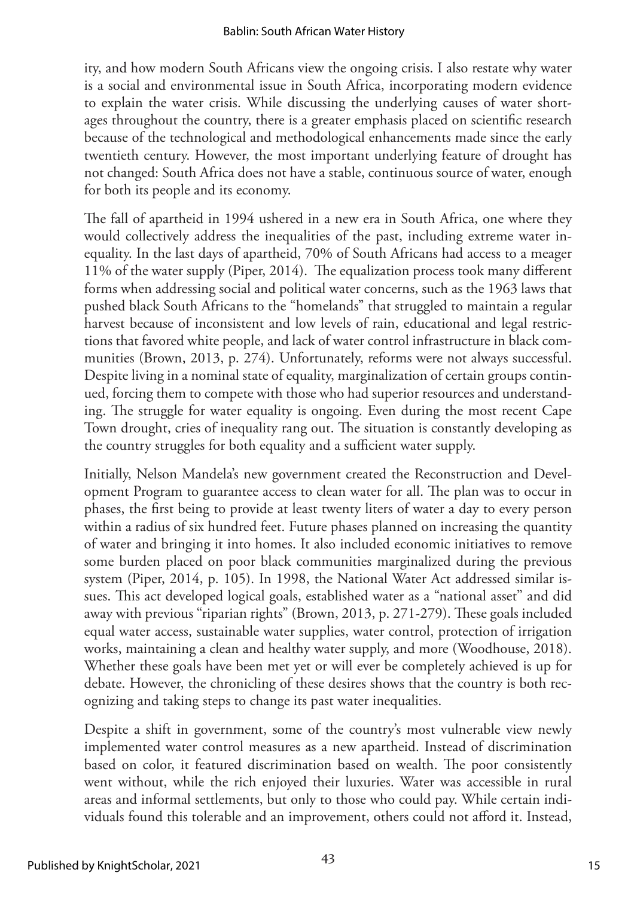ity, and how modern South Africans view the ongoing crisis. I also restate why water is a social and environmental issue in South Africa, incorporating modern evidence to explain the water crisis. While discussing the underlying causes of water shortages throughout the country, there is a greater emphasis placed on scientific research because of the technological and methodological enhancements made since the early twentieth century. However, the most important underlying feature of drought has not changed: South Africa does not have a stable, continuous source of water, enough for both its people and its economy.

The fall of apartheid in 1994 ushered in a new era in South Africa, one where they would collectively address the inequalities of the past, including extreme water inequality. In the last days of apartheid, 70% of South Africans had access to a meager 11% of the water supply (Piper, 2014). The equalization process took many different forms when addressing social and political water concerns, such as the 1963 laws that pushed black South Africans to the "homelands" that struggled to maintain a regular harvest because of inconsistent and low levels of rain, educational and legal restrictions that favored white people, and lack of water control infrastructure in black communities (Brown, 2013, p. 274). Unfortunately, reforms were not always successful. Despite living in a nominal state of equality, marginalization of certain groups continued, forcing them to compete with those who had superior resources and understanding. The struggle for water equality is ongoing. Even during the most recent Cape Town drought, cries of inequality rang out. The situation is constantly developing as the country struggles for both equality and a sufficient water supply.

Initially, Nelson Mandela's new government created the Reconstruction and Development Program to guarantee access to clean water for all. The plan was to occur in phases, the first being to provide at least twenty liters of water a day to every person within a radius of six hundred feet. Future phases planned on increasing the quantity of water and bringing it into homes. It also included economic initiatives to remove some burden placed on poor black communities marginalized during the previous system (Piper, 2014, p. 105). In 1998, the National Water Act addressed similar issues. This act developed logical goals, established water as a "national asset" and did away with previous "riparian rights" (Brown, 2013, p. 271-279). These goals included equal water access, sustainable water supplies, water control, protection of irrigation works, maintaining a clean and healthy water supply, and more (Woodhouse, 2018). Whether these goals have been met yet or will ever be completely achieved is up for debate. However, the chronicling of these desires shows that the country is both recognizing and taking steps to change its past water inequalities.

Despite a shift in government, some of the country's most vulnerable view newly implemented water control measures as a new apartheid. Instead of discrimination based on color, it featured discrimination based on wealth. The poor consistently went without, while the rich enjoyed their luxuries. Water was accessible in rural areas and informal settlements, but only to those who could pay. While certain individuals found this tolerable and an improvement, others could not afford it. Instead,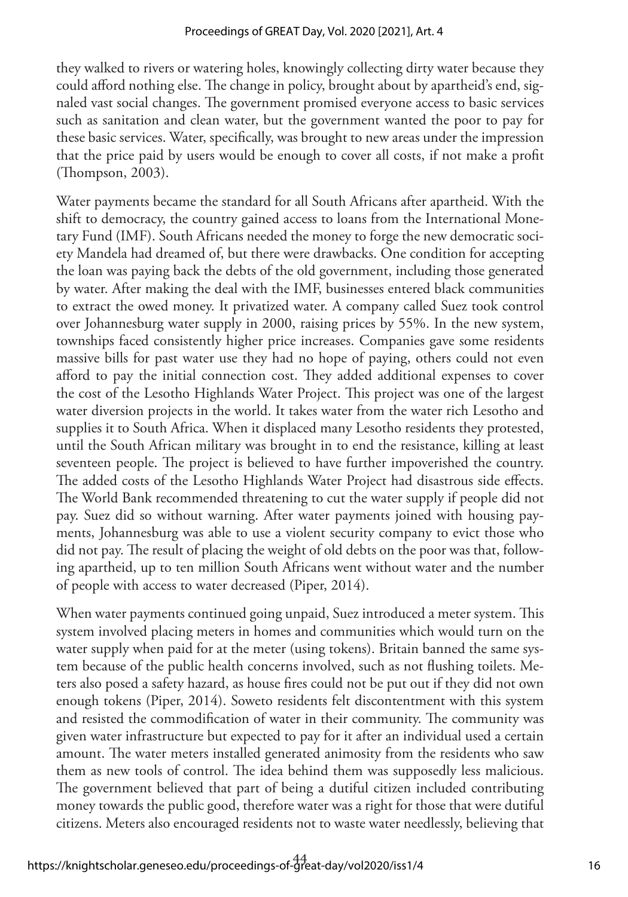they walked to rivers or watering holes, knowingly collecting dirty water because they could afford nothing else. The change in policy, brought about by apartheid's end, signaled vast social changes. The government promised everyone access to basic services such as sanitation and clean water, but the government wanted the poor to pay for these basic services. Water, specifically, was brought to new areas under the impression that the price paid by users would be enough to cover all costs, if not make a profit (Thompson, 2003).

Water payments became the standard for all South Africans after apartheid. With the shift to democracy, the country gained access to loans from the International Monetary Fund (IMF). South Africans needed the money to forge the new democratic society Mandela had dreamed of, but there were drawbacks. One condition for accepting the loan was paying back the debts of the old government, including those generated by water. After making the deal with the IMF, businesses entered black communities to extract the owed money. It privatized water. A company called Suez took control over Johannesburg water supply in 2000, raising prices by 55%. In the new system, townships faced consistently higher price increases. Companies gave some residents massive bills for past water use they had no hope of paying, others could not even afford to pay the initial connection cost. They added additional expenses to cover the cost of the Lesotho Highlands Water Project. This project was one of the largest water diversion projects in the world. It takes water from the water rich Lesotho and supplies it to South Africa. When it displaced many Lesotho residents they protested, until the South African military was brought in to end the resistance, killing at least seventeen people. The project is believed to have further impoverished the country. The added costs of the Lesotho Highlands Water Project had disastrous side effects. The World Bank recommended threatening to cut the water supply if people did not pay. Suez did so without warning. After water payments joined with housing payments, Johannesburg was able to use a violent security company to evict those who did not pay. The result of placing the weight of old debts on the poor was that, following apartheid, up to ten million South Africans went without water and the number of people with access to water decreased (Piper, 2014).

When water payments continued going unpaid, Suez introduced a meter system. This system involved placing meters in homes and communities which would turn on the water supply when paid for at the meter (using tokens). Britain banned the same system because of the public health concerns involved, such as not flushing toilets. Meters also posed a safety hazard, as house fires could not be put out if they did not own enough tokens (Piper, 2014). Soweto residents felt discontentment with this system and resisted the commodification of water in their community. The community was given water infrastructure but expected to pay for it after an individual used a certain amount. The water meters installed generated animosity from the residents who saw them as new tools of control. The idea behind them was supposedly less malicious. The government believed that part of being a dutiful citizen included contributing money towards the public good, therefore water was a right for those that were dutiful citizens. Meters also encouraged residents not to waste water needlessly, believing that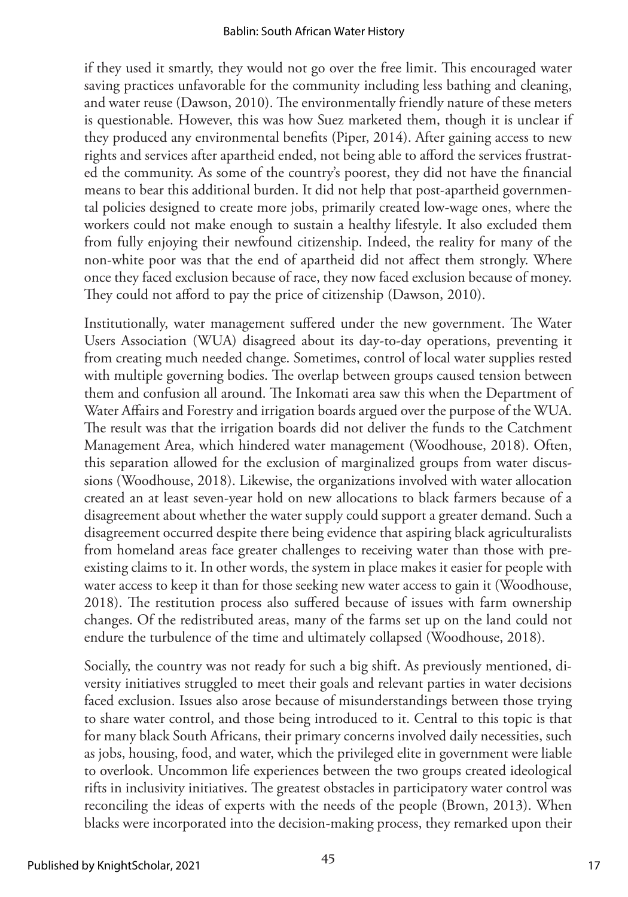if they used it smartly, they would not go over the free limit. This encouraged water saving practices unfavorable for the community including less bathing and cleaning, and water reuse (Dawson, 2010). The environmentally friendly nature of these meters is questionable. However, this was how Suez marketed them, though it is unclear if they produced any environmental benefits (Piper, 2014). After gaining access to new rights and services after apartheid ended, not being able to afford the services frustrated the community. As some of the country's poorest, they did not have the financial means to bear this additional burden. It did not help that post-apartheid governmental policies designed to create more jobs, primarily created low-wage ones, where the workers could not make enough to sustain a healthy lifestyle. It also excluded them from fully enjoying their newfound citizenship. Indeed, the reality for many of the non-white poor was that the end of apartheid did not affect them strongly. Where once they faced exclusion because of race, they now faced exclusion because of money. They could not afford to pay the price of citizenship (Dawson, 2010).

Institutionally, water management suffered under the new government. The Water Users Association (WUA) disagreed about its day-to-day operations, preventing it from creating much needed change. Sometimes, control of local water supplies rested with multiple governing bodies. The overlap between groups caused tension between them and confusion all around. The Inkomati area saw this when the Department of Water Affairs and Forestry and irrigation boards argued over the purpose of the WUA. The result was that the irrigation boards did not deliver the funds to the Catchment Management Area, which hindered water management (Woodhouse, 2018). Often, this separation allowed for the exclusion of marginalized groups from water discussions (Woodhouse, 2018). Likewise, the organizations involved with water allocation created an at least seven-year hold on new allocations to black farmers because of a disagreement about whether the water supply could support a greater demand. Such a disagreement occurred despite there being evidence that aspiring black agriculturalists from homeland areas face greater challenges to receiving water than those with preexisting claims to it. In other words, the system in place makes it easier for people with water access to keep it than for those seeking new water access to gain it (Woodhouse, 2018). The restitution process also suffered because of issues with farm ownership changes. Of the redistributed areas, many of the farms set up on the land could not endure the turbulence of the time and ultimately collapsed (Woodhouse, 2018).

Socially, the country was not ready for such a big shift. As previously mentioned, diversity initiatives struggled to meet their goals and relevant parties in water decisions faced exclusion. Issues also arose because of misunderstandings between those trying to share water control, and those being introduced to it. Central to this topic is that for many black South Africans, their primary concerns involved daily necessities, such as jobs, housing, food, and water, which the privileged elite in government were liable to overlook. Uncommon life experiences between the two groups created ideological rifts in inclusivity initiatives. The greatest obstacles in participatory water control was reconciling the ideas of experts with the needs of the people (Brown, 2013). When blacks were incorporated into the decision-making process, they remarked upon their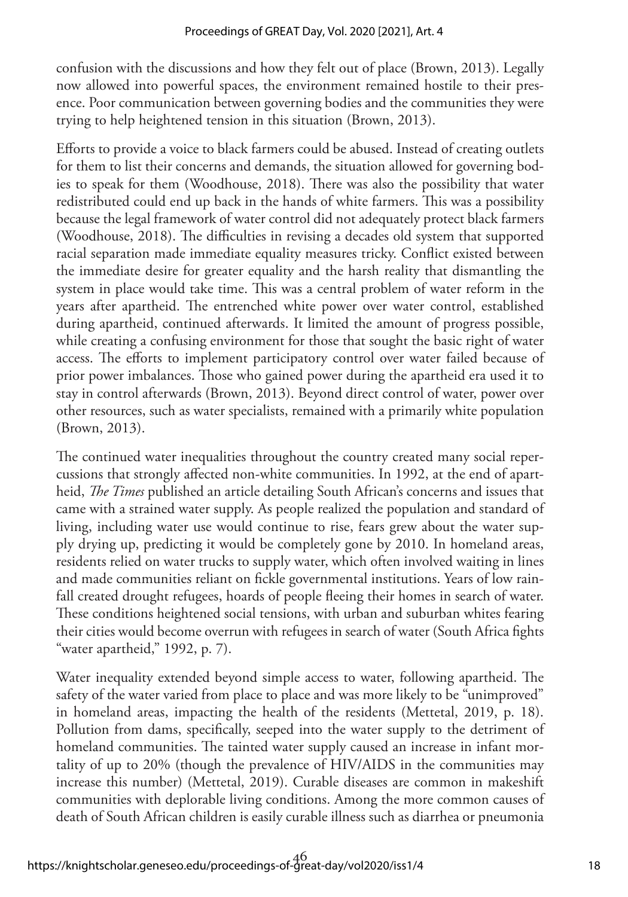confusion with the discussions and how they felt out of place (Brown, 2013). Legally now allowed into powerful spaces, the environment remained hostile to their presence. Poor communication between governing bodies and the communities they were trying to help heightened tension in this situation (Brown, 2013).

Efforts to provide a voice to black farmers could be abused. Instead of creating outlets for them to list their concerns and demands, the situation allowed for governing bodies to speak for them (Woodhouse, 2018). There was also the possibility that water redistributed could end up back in the hands of white farmers. This was a possibility because the legal framework of water control did not adequately protect black farmers (Woodhouse, 2018). The difficulties in revising a decades old system that supported racial separation made immediate equality measures tricky. Conflict existed between the immediate desire for greater equality and the harsh reality that dismantling the system in place would take time. This was a central problem of water reform in the years after apartheid. The entrenched white power over water control, established during apartheid, continued afterwards. It limited the amount of progress possible, while creating a confusing environment for those that sought the basic right of water access. The efforts to implement participatory control over water failed because of prior power imbalances. Those who gained power during the apartheid era used it to stay in control afterwards (Brown, 2013). Beyond direct control of water, power over other resources, such as water specialists, remained with a primarily white population (Brown, 2013).

The continued water inequalities throughout the country created many social repercussions that strongly affected non-white communities. In 1992, at the end of apartheid, *The Times* published an article detailing South African's concerns and issues that came with a strained water supply. As people realized the population and standard of living, including water use would continue to rise, fears grew about the water supply drying up, predicting it would be completely gone by 2010. In homeland areas, residents relied on water trucks to supply water, which often involved waiting in lines and made communities reliant on fickle governmental institutions. Years of low rainfall created drought refugees, hoards of people fleeing their homes in search of water. These conditions heightened social tensions, with urban and suburban whites fearing their cities would become overrun with refugees in search of water (South Africa fights "water apartheid," 1992, p. 7).

Water inequality extended beyond simple access to water, following apartheid. The safety of the water varied from place to place and was more likely to be "unimproved" in homeland areas, impacting the health of the residents (Mettetal, 2019, p. 18). Pollution from dams, specifically, seeped into the water supply to the detriment of homeland communities. The tainted water supply caused an increase in infant mortality of up to 20% (though the prevalence of HIV/AIDS in the communities may increase this number) (Mettetal, 2019). Curable diseases are common in makeshift communities with deplorable living conditions. Among the more common causes of death of South African children is easily curable illness such as diarrhea or pneumonia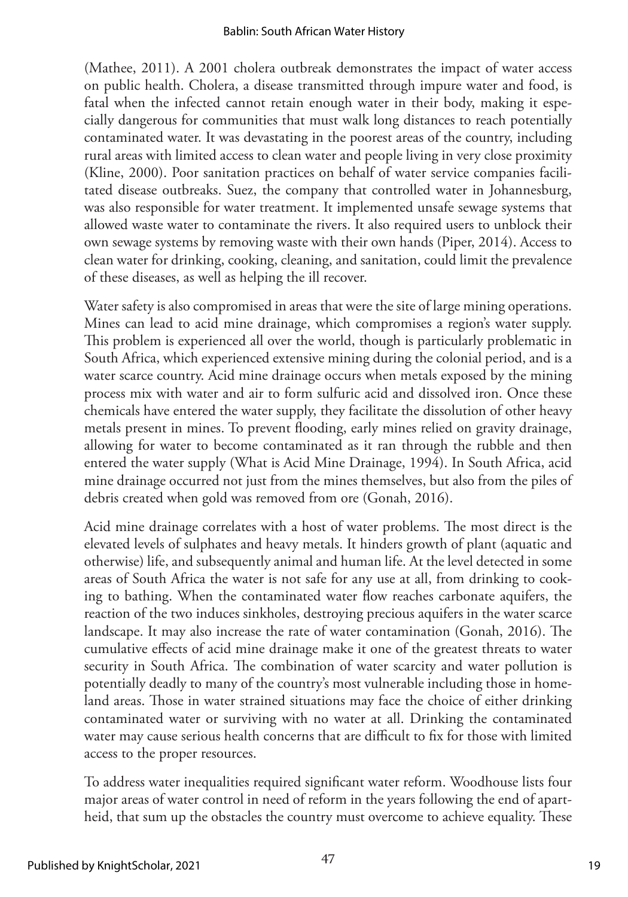(Mathee, 2011). A 2001 cholera outbreak demonstrates the impact of water access on public health. Cholera, a disease transmitted through impure water and food, is fatal when the infected cannot retain enough water in their body, making it especially dangerous for communities that must walk long distances to reach potentially contaminated water. It was devastating in the poorest areas of the country, including rural areas with limited access to clean water and people living in very close proximity (Kline, 2000). Poor sanitation practices on behalf of water service companies facilitated disease outbreaks. Suez, the company that controlled water in Johannesburg, was also responsible for water treatment. It implemented unsafe sewage systems that allowed waste water to contaminate the rivers. It also required users to unblock their own sewage systems by removing waste with their own hands (Piper, 2014). Access to clean water for drinking, cooking, cleaning, and sanitation, could limit the prevalence of these diseases, as well as helping the ill recover.

Water safety is also compromised in areas that were the site of large mining operations. Mines can lead to acid mine drainage, which compromises a region's water supply. This problem is experienced all over the world, though is particularly problematic in South Africa, which experienced extensive mining during the colonial period, and is a water scarce country. Acid mine drainage occurs when metals exposed by the mining process mix with water and air to form sulfuric acid and dissolved iron. Once these chemicals have entered the water supply, they facilitate the dissolution of other heavy metals present in mines. To prevent flooding, early mines relied on gravity drainage, allowing for water to become contaminated as it ran through the rubble and then entered the water supply (What is Acid Mine Drainage, 1994). In South Africa, acid mine drainage occurred not just from the mines themselves, but also from the piles of debris created when gold was removed from ore (Gonah, 2016).

Acid mine drainage correlates with a host of water problems. The most direct is the elevated levels of sulphates and heavy metals. It hinders growth of plant (aquatic and otherwise) life, and subsequently animal and human life. At the level detected in some areas of South Africa the water is not safe for any use at all, from drinking to cooking to bathing. When the contaminated water flow reaches carbonate aquifers, the reaction of the two induces sinkholes, destroying precious aquifers in the water scarce landscape. It may also increase the rate of water contamination (Gonah, 2016). The cumulative effects of acid mine drainage make it one of the greatest threats to water security in South Africa. The combination of water scarcity and water pollution is potentially deadly to many of the country's most vulnerable including those in homeland areas. Those in water strained situations may face the choice of either drinking contaminated water or surviving with no water at all. Drinking the contaminated water may cause serious health concerns that are difficult to fix for those with limited access to the proper resources.

To address water inequalities required significant water reform. Woodhouse lists four major areas of water control in need of reform in the years following the end of apartheid, that sum up the obstacles the country must overcome to achieve equality. These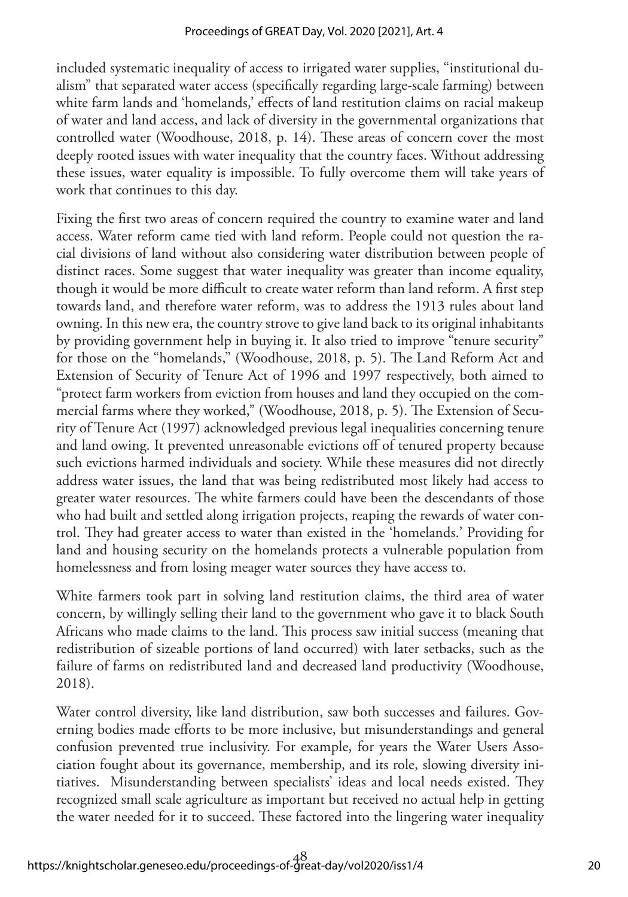included systematic inequality of access to irrigated water supplies, "institutional dualism" that separated water access (specifically regarding large-scale farming) between white farm lands and 'homelands,' effects of land restitution claims on racial makeup of water and land access, and lack of diversity in the governmental organizations that controlled water (Woodhouse, 2018, p. 14). These areas of concern cover the most deeply rooted issues with water inequality that the country faces. Without addressing these issues, water equality is impossible. To fully overcome them will take years of work that continues to this day.

Fixing the first two areas of concern required the country to examine water and land access. Water reform came tied with land reform. People could not question the racial divisions of land without also considering water distribution between people of distinct races. Some suggest that water inequality was greater than income equality, though it would be more difficult to create water reform than land reform. A first step towards land, and therefore water reform, was to address the 1913 rules about land owning. In this new era, the country strove to give land back to its original inhabitants by providing government help in buying it. It also tried to improve "tenure security" for those on the "homelands," (Woodhouse, 2018, p. 5). The Land Reform Act and Extension of Security of Tenure Act of 1996 and 1997 respectively, both aimed to "protect farm workers from eviction from houses and land they occupied on the commercial farms where they worked," (Woodhouse, 2018, p. 5). The Extension of Security of Tenure Act (1997) acknowledged previous legal inequalities concerning tenure and land owing. It prevented unreasonable evictions off of tenured property because such evictions harmed individuals and society. While these measures did not directly address water issues, the land that was being redistributed most likely had access to greater water resources. The white farmers could have been the descendants of those who had built and settled along irrigation projects, reaping the rewards of water control. They had greater access to water than existed in the 'homelands.' Providing for land and housing security on the homelands protects a vulnerable population from homelessness and from losing meager water sources they have access to.

White farmers took part in solving land restitution claims, the third area of water concern, by willingly selling their land to the government who gave it to black South Africans who made claims to the land. This process saw initial success (meaning that redistribution of sizeable portions of land occurred) with later setbacks, such as the failure of farms on redistributed land and decreased land productivity (Woodhouse, 2018).

Water control diversity, like land distribution, saw both successes and failures. Governing bodies made efforts to be more inclusive, but misunderstandings and general confusion prevented true inclusivity. For example, for years the Water Users Association fought about its governance, membership, and its role, slowing diversity initiatives. Misunderstanding between specialists' ideas and local needs existed. They recognized small scale agriculture as important but received no actual help in getting the water needed for it to succeed. These factored into the lingering water inequality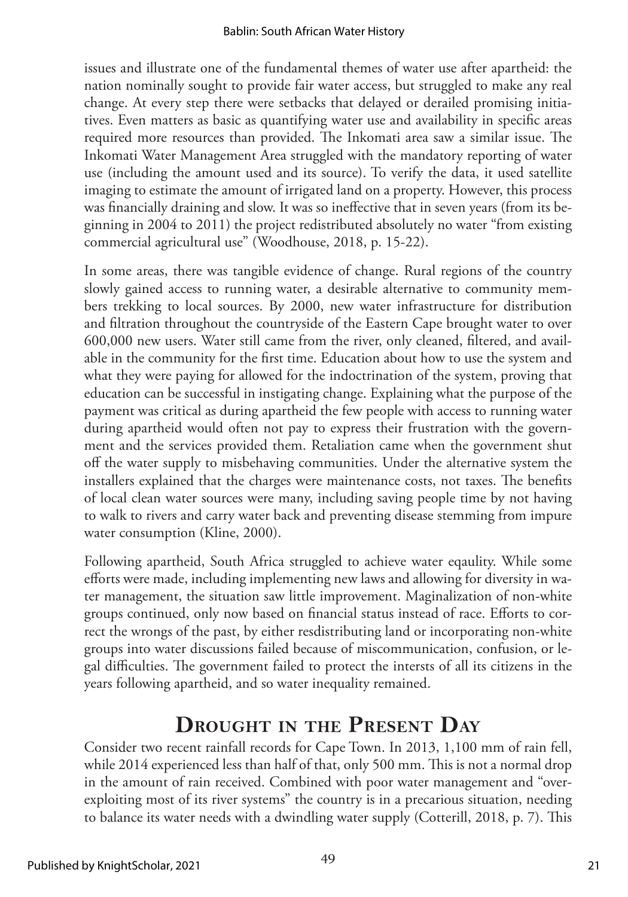issues and illustrate one of the fundamental themes of water use after apartheid: the nation nominally sought to provide fair water access, but struggled to make any real change. At every step there were setbacks that delayed or derailed promising initiatives. Even matters as basic as quantifying water use and availability in specific areas required more resources than provided. The Inkomati area saw a similar issue. The Inkomati Water Management Area struggled with the mandatory reporting of water use (including the amount used and its source). To verify the data, it used satellite imaging to estimate the amount of irrigated land on a property. However, this process was financially draining and slow. It was so ineffective that in seven years (from its beginning in 2004 to 2011) the project redistributed absolutely no water "from existing commercial agricultural use" (Woodhouse, 2018, p. 15-22).

In some areas, there was tangible evidence of change. Rural regions of the country slowly gained access to running water, a desirable alternative to community members trekking to local sources. By 2000, new water infrastructure for distribution and filtration throughout the countryside of the Eastern Cape brought water to over 600,000 new users. Water still came from the river, only cleaned, filtered, and available in the community for the first time. Education about how to use the system and what they were paying for allowed for the indoctrination of the system, proving that education can be successful in instigating change. Explaining what the purpose of the payment was critical as during apartheid the few people with access to running water during apartheid would often not pay to express their frustration with the government and the services provided them. Retaliation came when the government shut off the water supply to misbehaving communities. Under the alternative system the installers explained that the charges were maintenance costs, not taxes. The benefits of local clean water sources were many, including saving people time by not having to walk to rivers and carry water back and preventing disease stemming from impure water consumption (Kline, 2000).

Following apartheid, South Africa struggled to achieve water eqaulity. While some efforts were made, including implementing new laws and allowing for diversity in water management, the situation saw little improvement. Maginalization of non-white groups continued, only now based on financial status instead of race. Efforts to correct the wrongs of the past, by either resdistributing land or incorporating non-white groups into water discussions failed because of miscommunication, confusion, or legal difficulties. The government failed to protect the intersts of all its citizens in the years following apartheid, and so water inequality remained.

# **Drought in the Present Day**

Consider two recent rainfall records for Cape Town. In 2013, 1,100 mm of rain fell, while 2014 experienced less than half of that, only 500 mm. This is not a normal drop in the amount of rain received. Combined with poor water management and "overexploiting most of its river systems" the country is in a precarious situation, needing to balance its water needs with a dwindling water supply (Cotterill, 2018, p. 7). This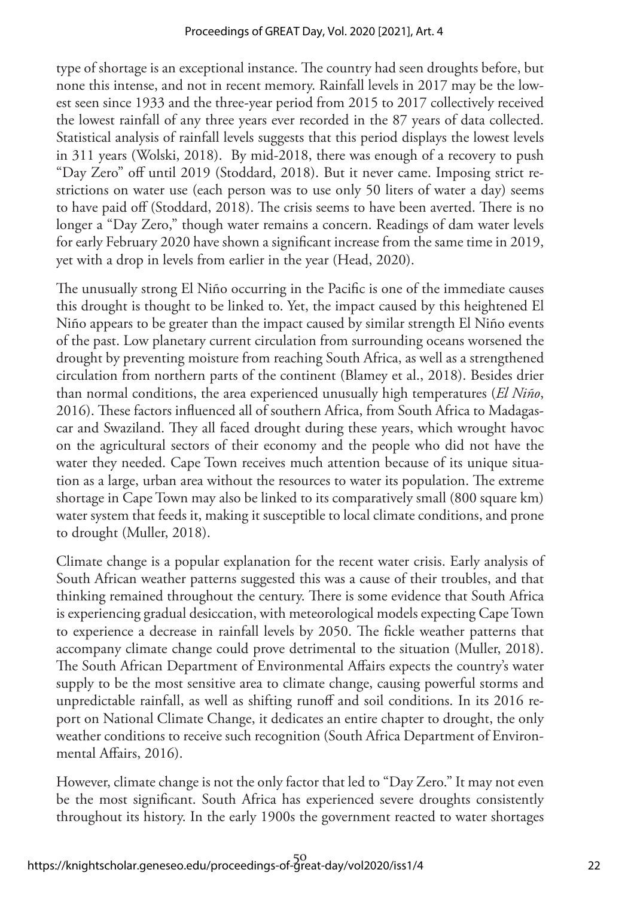type of shortage is an exceptional instance. The country had seen droughts before, but none this intense, and not in recent memory. Rainfall levels in 2017 may be the lowest seen since 1933 and the three-year period from 2015 to 2017 collectively received the lowest rainfall of any three years ever recorded in the 87 years of data collected. Statistical analysis of rainfall levels suggests that this period displays the lowest levels in 311 years (Wolski, 2018). By mid-2018, there was enough of a recovery to push "Day Zero" off until 2019 (Stoddard, 2018). But it never came. Imposing strict restrictions on water use (each person was to use only 50 liters of water a day) seems to have paid off (Stoddard, 2018). The crisis seems to have been averted. There is no longer a "Day Zero," though water remains a concern. Readings of dam water levels for early February 2020 have shown a significant increase from the same time in 2019, yet with a drop in levels from earlier in the year (Head, 2020).

The unusually strong El Niño occurring in the Pacific is one of the immediate causes this drought is thought to be linked to. Yet, the impact caused by this heightened El Niño appears to be greater than the impact caused by similar strength El Niño events of the past. Low planetary current circulation from surrounding oceans worsened the drought by preventing moisture from reaching South Africa, as well as a strengthened circulation from northern parts of the continent (Blamey et al., 2018). Besides drier than normal conditions, the area experienced unusually high temperatures (*El Niño*, 2016). These factors influenced all of southern Africa, from South Africa to Madagascar and Swaziland. They all faced drought during these years, which wrought havoc on the agricultural sectors of their economy and the people who did not have the water they needed. Cape Town receives much attention because of its unique situation as a large, urban area without the resources to water its population. The extreme shortage in Cape Town may also be linked to its comparatively small (800 square km) water system that feeds it, making it susceptible to local climate conditions, and prone to drought (Muller, 2018).

Climate change is a popular explanation for the recent water crisis. Early analysis of South African weather patterns suggested this was a cause of their troubles, and that thinking remained throughout the century. There is some evidence that South Africa is experiencing gradual desiccation, with meteorological models expecting Cape Town to experience a decrease in rainfall levels by 2050. The fickle weather patterns that accompany climate change could prove detrimental to the situation (Muller, 2018). The South African Department of Environmental Affairs expects the country's water supply to be the most sensitive area to climate change, causing powerful storms and unpredictable rainfall, as well as shifting runoff and soil conditions. In its 2016 report on National Climate Change, it dedicates an entire chapter to drought, the only weather conditions to receive such recognition (South Africa Department of Environmental Affairs, 2016).

However, climate change is not the only factor that led to "Day Zero." It may not even be the most significant. South Africa has experienced severe droughts consistently throughout its history. In the early 1900s the government reacted to water shortages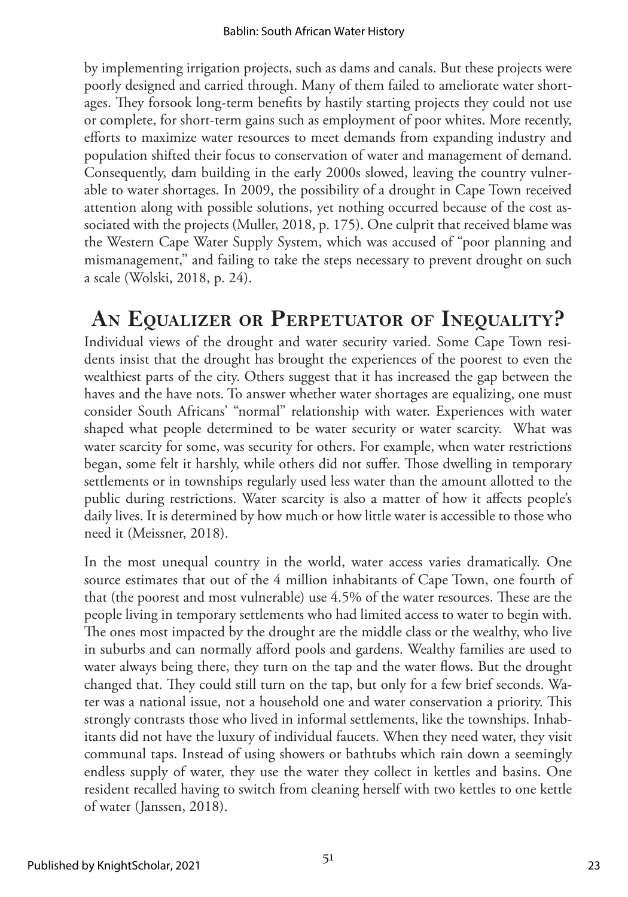by implementing irrigation projects, such as dams and canals. But these projects were poorly designed and carried through. Many of them failed to ameliorate water shortages. They forsook long-term benefits by hastily starting projects they could not use or complete, for short-term gains such as employment of poor whites. More recently, efforts to maximize water resources to meet demands from expanding industry and population shifted their focus to conservation of water and management of demand. Consequently, dam building in the early 2000s slowed, leaving the country vulnerable to water shortages. In 2009, the possibility of a drought in Cape Town received attention along with possible solutions, yet nothing occurred because of the cost associated with the projects (Muller, 2018, p. 175). One culprit that received blame was the Western Cape Water Supply System, which was accused of "poor planning and mismanagement," and failing to take the steps necessary to prevent drought on such a scale (Wolski, 2018, p. 24).

# **An Equalizer or Perpetuator of Inequality?**

Individual views of the drought and water security varied. Some Cape Town residents insist that the drought has brought the experiences of the poorest to even the wealthiest parts of the city. Others suggest that it has increased the gap between the haves and the have nots. To answer whether water shortages are equalizing, one must consider South Africans' "normal" relationship with water. Experiences with water shaped what people determined to be water security or water scarcity. What was water scarcity for some, was security for others. For example, when water restrictions began, some felt it harshly, while others did not suffer. Those dwelling in temporary settlements or in townships regularly used less water than the amount allotted to the public during restrictions. Water scarcity is also a matter of how it affects people's daily lives. It is determined by how much or how little water is accessible to those who need it (Meissner, 2018).

In the most unequal country in the world, water access varies dramatically. One source estimates that out of the 4 million inhabitants of Cape Town, one fourth of that (the poorest and most vulnerable) use 4.5% of the water resources. These are the people living in temporary settlements who had limited access to water to begin with. The ones most impacted by the drought are the middle class or the wealthy, who live in suburbs and can normally afford pools and gardens. Wealthy families are used to water always being there, they turn on the tap and the water flows. But the drought changed that. They could still turn on the tap, but only for a few brief seconds. Water was a national issue, not a household one and water conservation a priority. This strongly contrasts those who lived in informal settlements, like the townships. Inhabitants did not have the luxury of individual faucets. When they need water, they visit communal taps. Instead of using showers or bathtubs which rain down a seemingly endless supply of water, they use the water they collect in kettles and basins. One resident recalled having to switch from cleaning herself with two kettles to one kettle of water (Janssen, 2018).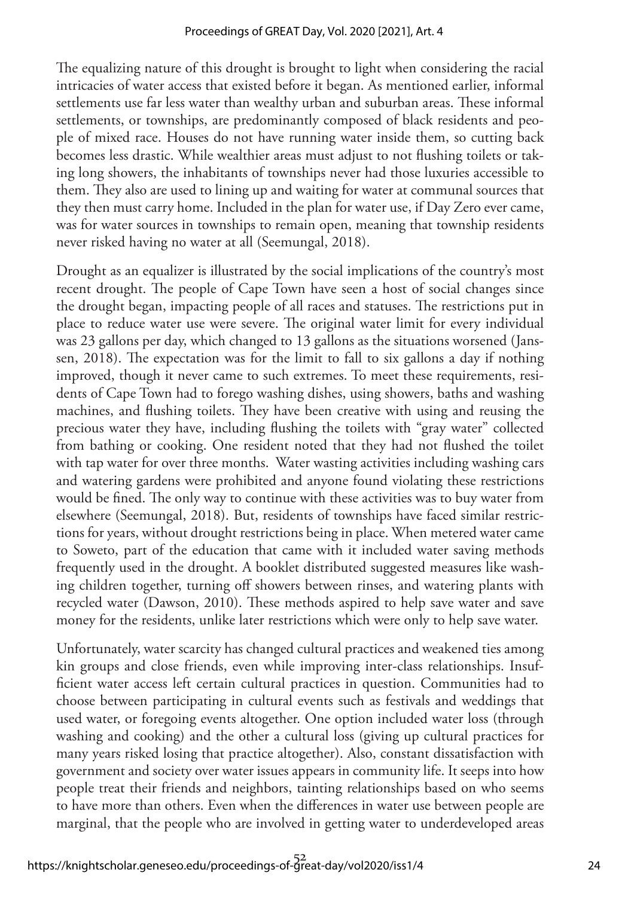The equalizing nature of this drought is brought to light when considering the racial intricacies of water access that existed before it began. As mentioned earlier, informal settlements use far less water than wealthy urban and suburban areas. These informal settlements, or townships, are predominantly composed of black residents and people of mixed race. Houses do not have running water inside them, so cutting back becomes less drastic. While wealthier areas must adjust to not flushing toilets or taking long showers, the inhabitants of townships never had those luxuries accessible to them. They also are used to lining up and waiting for water at communal sources that they then must carry home. Included in the plan for water use, if Day Zero ever came, was for water sources in townships to remain open, meaning that township residents never risked having no water at all (Seemungal, 2018).

Drought as an equalizer is illustrated by the social implications of the country's most recent drought. The people of Cape Town have seen a host of social changes since the drought began, impacting people of all races and statuses. The restrictions put in place to reduce water use were severe. The original water limit for every individual was 23 gallons per day, which changed to 13 gallons as the situations worsened (Janssen, 2018). The expectation was for the limit to fall to six gallons a day if nothing improved, though it never came to such extremes. To meet these requirements, residents of Cape Town had to forego washing dishes, using showers, baths and washing machines, and flushing toilets. They have been creative with using and reusing the precious water they have, including flushing the toilets with "gray water" collected from bathing or cooking. One resident noted that they had not flushed the toilet with tap water for over three months. Water wasting activities including washing cars and watering gardens were prohibited and anyone found violating these restrictions would be fined. The only way to continue with these activities was to buy water from elsewhere (Seemungal, 2018). But, residents of townships have faced similar restrictions for years, without drought restrictions being in place. When metered water came to Soweto, part of the education that came with it included water saving methods frequently used in the drought. A booklet distributed suggested measures like washing children together, turning off showers between rinses, and watering plants with recycled water (Dawson, 2010). These methods aspired to help save water and save money for the residents, unlike later restrictions which were only to help save water.

Unfortunately, water scarcity has changed cultural practices and weakened ties among kin groups and close friends, even while improving inter-class relationships. Insufficient water access left certain cultural practices in question. Communities had to choose between participating in cultural events such as festivals and weddings that used water, or foregoing events altogether. One option included water loss (through washing and cooking) and the other a cultural loss (giving up cultural practices for many years risked losing that practice altogether). Also, constant dissatisfaction with government and society over water issues appears in community life. It seeps into how people treat their friends and neighbors, tainting relationships based on who seems to have more than others. Even when the differences in water use between people are marginal, that the people who are involved in getting water to underdeveloped areas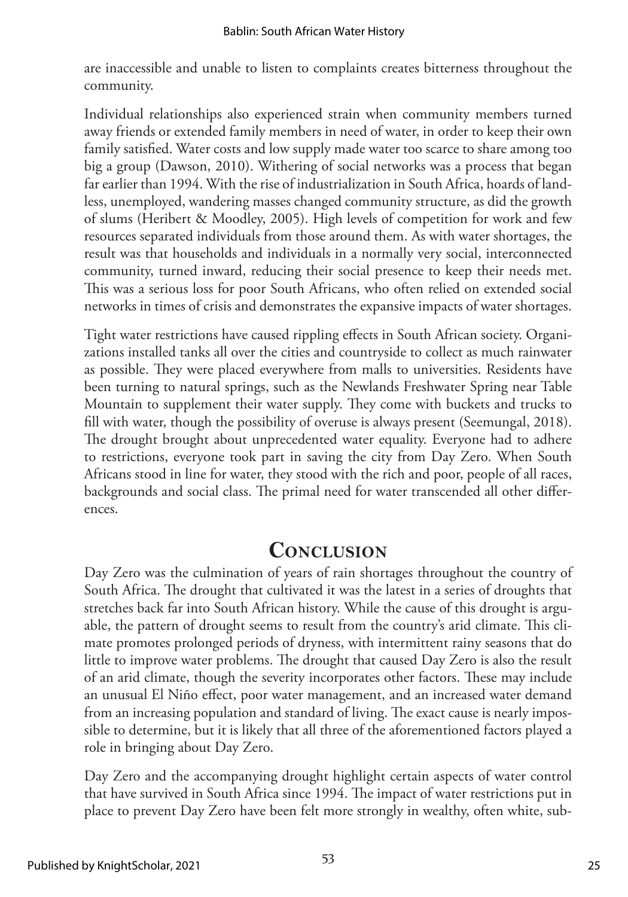are inaccessible and unable to listen to complaints creates bitterness throughout the community.

Individual relationships also experienced strain when community members turned away friends or extended family members in need of water, in order to keep their own family satisfied. Water costs and low supply made water too scarce to share among too big a group (Dawson, 2010). Withering of social networks was a process that began far earlier than 1994. With the rise of industrialization in South Africa, hoards of landless, unemployed, wandering masses changed community structure, as did the growth of slums (Heribert & Moodley, 2005). High levels of competition for work and few resources separated individuals from those around them. As with water shortages, the result was that households and individuals in a normally very social, interconnected community, turned inward, reducing their social presence to keep their needs met. This was a serious loss for poor South Africans, who often relied on extended social networks in times of crisis and demonstrates the expansive impacts of water shortages.

Tight water restrictions have caused rippling effects in South African society. Organizations installed tanks all over the cities and countryside to collect as much rainwater as possible. They were placed everywhere from malls to universities. Residents have been turning to natural springs, such as the Newlands Freshwater Spring near Table Mountain to supplement their water supply. They come with buckets and trucks to fill with water, though the possibility of overuse is always present (Seemungal, 2018). The drought brought about unprecedented water equality. Everyone had to adhere to restrictions, everyone took part in saving the city from Day Zero. When South Africans stood in line for water, they stood with the rich and poor, people of all races, backgrounds and social class. The primal need for water transcended all other differences.

# **Conclusion**

Day Zero was the culmination of years of rain shortages throughout the country of South Africa. The drought that cultivated it was the latest in a series of droughts that stretches back far into South African history. While the cause of this drought is arguable, the pattern of drought seems to result from the country's arid climate. This climate promotes prolonged periods of dryness, with intermittent rainy seasons that do little to improve water problems. The drought that caused Day Zero is also the result of an arid climate, though the severity incorporates other factors. These may include an unusual El Niño effect, poor water management, and an increased water demand from an increasing population and standard of living. The exact cause is nearly impossible to determine, but it is likely that all three of the aforementioned factors played a role in bringing about Day Zero.

Day Zero and the accompanying drought highlight certain aspects of water control that have survived in South Africa since 1994. The impact of water restrictions put in place to prevent Day Zero have been felt more strongly in wealthy, often white, sub-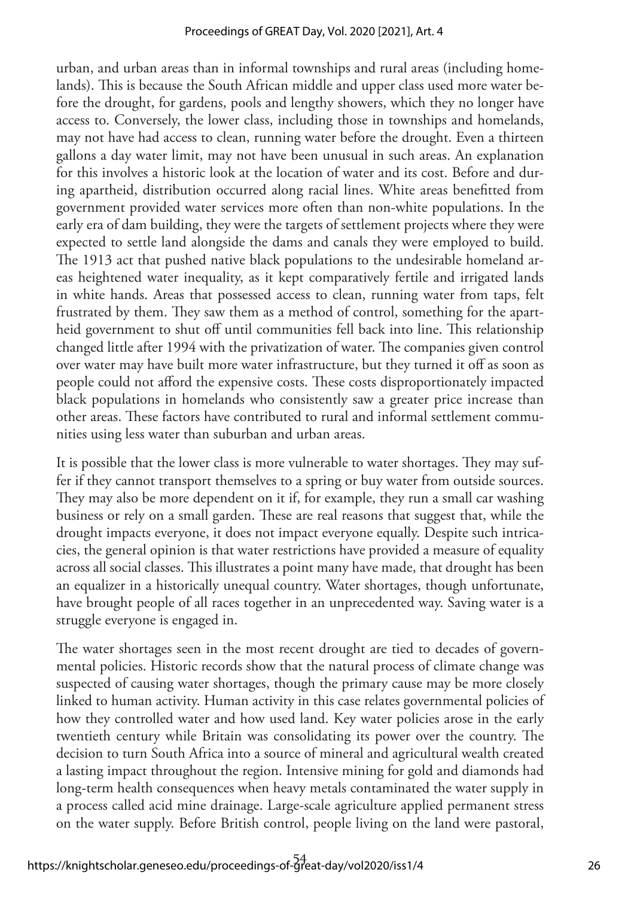urban, and urban areas than in informal townships and rural areas (including homelands). This is because the South African middle and upper class used more water before the drought, for gardens, pools and lengthy showers, which they no longer have access to. Conversely, the lower class, including those in townships and homelands, may not have had access to clean, running water before the drought. Even a thirteen gallons a day water limit, may not have been unusual in such areas. An explanation for this involves a historic look at the location of water and its cost. Before and during apartheid, distribution occurred along racial lines. White areas benefitted from government provided water services more often than non-white populations. In the early era of dam building, they were the targets of settlement projects where they were expected to settle land alongside the dams and canals they were employed to build. The 1913 act that pushed native black populations to the undesirable homeland areas heightened water inequality, as it kept comparatively fertile and irrigated lands in white hands. Areas that possessed access to clean, running water from taps, felt frustrated by them. They saw them as a method of control, something for the apartheid government to shut off until communities fell back into line. This relationship changed little after 1994 with the privatization of water. The companies given control over water may have built more water infrastructure, but they turned it off as soon as people could not afford the expensive costs. These costs disproportionately impacted black populations in homelands who consistently saw a greater price increase than other areas. These factors have contributed to rural and informal settlement communities using less water than suburban and urban areas.

It is possible that the lower class is more vulnerable to water shortages. They may suffer if they cannot transport themselves to a spring or buy water from outside sources. They may also be more dependent on it if, for example, they run a small car washing business or rely on a small garden. These are real reasons that suggest that, while the drought impacts everyone, it does not impact everyone equally. Despite such intricacies, the general opinion is that water restrictions have provided a measure of equality across all social classes. This illustrates a point many have made, that drought has been an equalizer in a historically unequal country. Water shortages, though unfortunate, have brought people of all races together in an unprecedented way. Saving water is a struggle everyone is engaged in.

The water shortages seen in the most recent drought are tied to decades of governmental policies. Historic records show that the natural process of climate change was suspected of causing water shortages, though the primary cause may be more closely linked to human activity. Human activity in this case relates governmental policies of how they controlled water and how used land. Key water policies arose in the early twentieth century while Britain was consolidating its power over the country. The decision to turn South Africa into a source of mineral and agricultural wealth created a lasting impact throughout the region. Intensive mining for gold and diamonds had long-term health consequences when heavy metals contaminated the water supply in a process called acid mine drainage. Large-scale agriculture applied permanent stress on the water supply. Before British control, people living on the land were pastoral,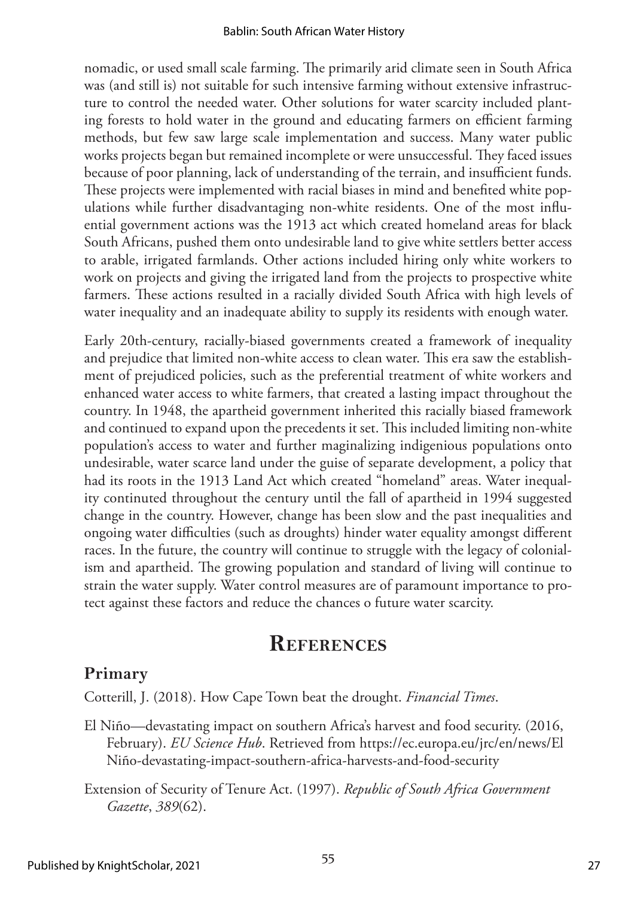nomadic, or used small scale farming. The primarily arid climate seen in South Africa was (and still is) not suitable for such intensive farming without extensive infrastructure to control the needed water. Other solutions for water scarcity included planting forests to hold water in the ground and educating farmers on efficient farming methods, but few saw large scale implementation and success. Many water public works projects began but remained incomplete or were unsuccessful. They faced issues because of poor planning, lack of understanding of the terrain, and insufficient funds. These projects were implemented with racial biases in mind and benefited white populations while further disadvantaging non-white residents. One of the most influential government actions was the 1913 act which created homeland areas for black South Africans, pushed them onto undesirable land to give white settlers better access to arable, irrigated farmlands. Other actions included hiring only white workers to work on projects and giving the irrigated land from the projects to prospective white farmers. These actions resulted in a racially divided South Africa with high levels of water inequality and an inadequate ability to supply its residents with enough water.

Early 20th-century, racially-biased governments created a framework of inequality and prejudice that limited non-white access to clean water. This era saw the establishment of prejudiced policies, such as the preferential treatment of white workers and enhanced water access to white farmers, that created a lasting impact throughout the country. In 1948, the apartheid government inherited this racially biased framework and continued to expand upon the precedents it set. This included limiting non-white population's access to water and further maginalizing indigenious populations onto undesirable, water scarce land under the guise of separate development, a policy that had its roots in the 1913 Land Act which created "homeland" areas. Water inequality continuted throughout the century until the fall of apartheid in 1994 suggested change in the country. However, change has been slow and the past inequalities and ongoing water difficulties (such as droughts) hinder water equality amongst different races. In the future, the country will continue to struggle with the legacy of colonialism and apartheid. The growing population and standard of living will continue to strain the water supply. Water control measures are of paramount importance to protect against these factors and reduce the chances o future water scarcity.

### **References**

### **Primary**

Cotterill, J. (2018). How Cape Town beat the drought. *Financial Times*.

- El Niño—devastating impact on southern Africa's harvest and food security. (2016, February). *EU Science Hub*. Retrieved from [https://ec.europa.eu/jrc/en/news/El](https://ec.europa.eu/jrc/en/news/el-nino-devastating-impact-southern-africa-harvests-and-food-security)  [Niño-devastating-impact-southern-africa-harvests-and-food-security](https://ec.europa.eu/jrc/en/news/el-nino-devastating-impact-southern-africa-harvests-and-food-security)
- Extension of Security of Tenure Act. (1997). *Republic of South Africa Government Gazette*, *389*(62).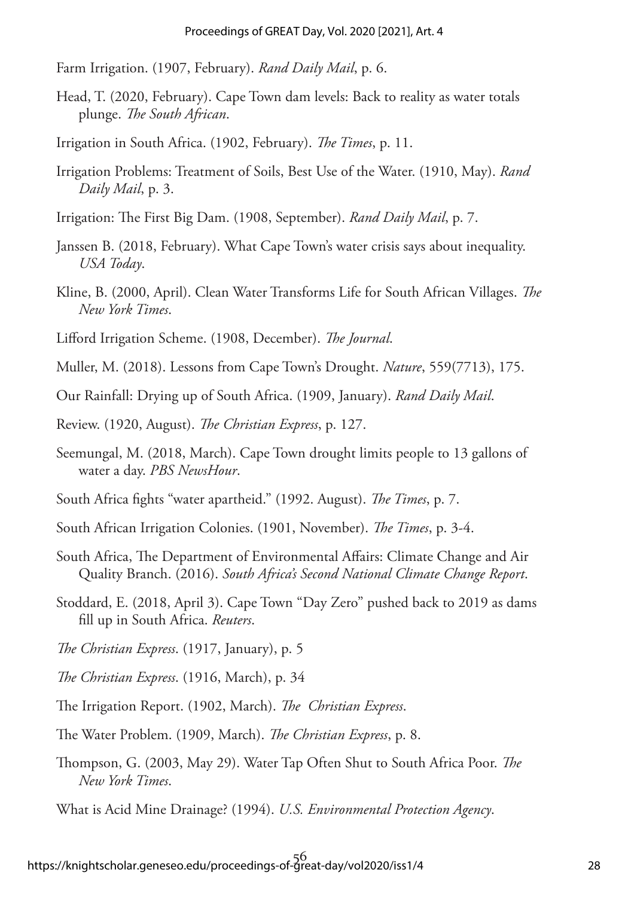Farm Irrigation. (1907, February). *Rand Daily Mail*, p. 6.

Head, T. (2020, February). Cape Town dam levels: Back to reality as water totals plunge. *The South African*.

Irrigation in South Africa. (1902, February). *The Times*, p. 11.

- Irrigation Problems: Treatment of Soils, Best Use of the Water. (1910, May). *Rand Daily Mail*, p. 3.
- Irrigation: The First Big Dam. (1908, September). *Rand Daily Mail*, p. 7.
- Janssen B. (2018, February). What Cape Town's water crisis says about inequality. *USA Today*.
- Kline, B. (2000, April). Clean Water Transforms Life for South African Villages. *The New York Times*.
- Lifford Irrigation Scheme. (1908, December). *The Journal*.
- Muller, M. (2018). Lessons from Cape Town's Drought. *Nature*, 559(7713), 175.
- Our Rainfall: Drying up of South Africa. (1909, January). *Rand Daily Mail*.
- Review. (1920, August). *The Christian Express*, p. 127.
- Seemungal, M. (2018, March). Cape Town drought limits people to 13 gallons of water a day. *PBS NewsHour*.
- South Africa fights "water apartheid." (1992. August). *The Times*, p. 7.
- South African Irrigation Colonies. (1901, November). *The Times*, p. 3-4.
- South Africa, The Department of Environmental Affairs: Climate Change and Air Quality Branch. (2016). *South Africa's Second National Climate Change Report*.
- Stoddard, E. (2018, April 3). Cape Town "Day Zero" pushed back to 2019 as dams fill up in South Africa. *Reuters*.
- *The Christian Express*. (1917, January), p. 5
- *The Christian Express*. (1916, March), p. 34
- The Irrigation Report. (1902, March). *The Christian Express*.
- The Water Problem. (1909, March). *The Christian Express*, p. 8.
- Thompson, G. (2003, May 29). Water Tap Often Shut to South Africa Poor. *The New York Times*.
- What is Acid Mine Drainage? (1994). *U.S. Environmental Protection Agency*.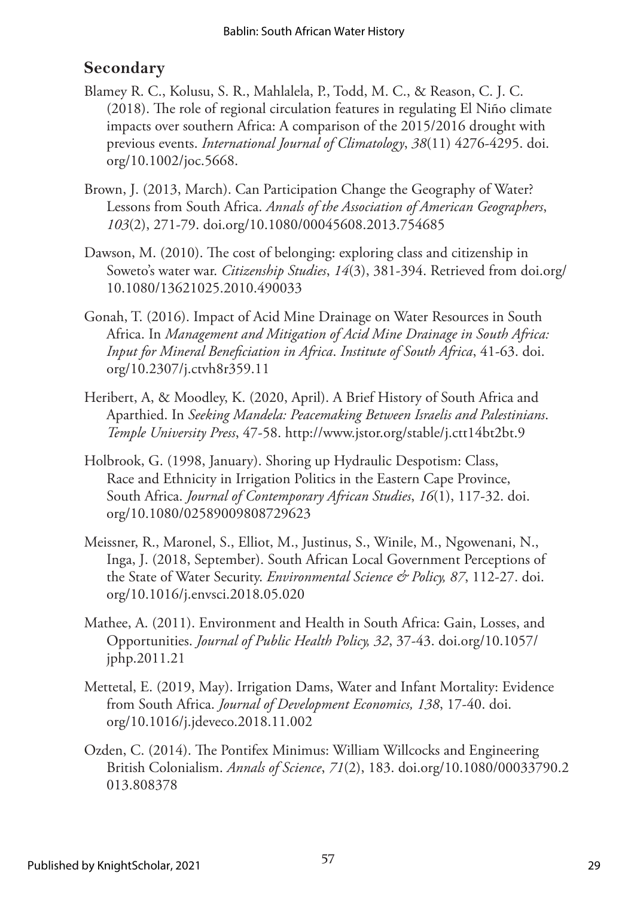### **Secondary**

- Blamey R. C., Kolusu, S. R., Mahlalela, P., Todd, M. C., & Reason, C. J. C. (2018). The role of regional circulation features in regulating El Niño climate impacts over southern Africa: A comparison of the 2015/2016 drought with previous events. *International Journal of Climatology*, *38*(11) 4276-4295. [doi.](https://doi.org/10.1002/joc.5668) [org/10.1002/joc.5668](https://doi.org/10.1002/joc.5668).
- Brown, J. (2013, March). Can Participation Change the Geography of Water? Lessons from South Africa. *Annals of the Association of American Geographers*, *103*(2), 271-79. [doi.org/10.1080/00045608.2013.754685](https://doi.org/10.1080/00045608.2013.754685)
- Dawson, M. (2010). The cost of belonging: exploring class and citizenship in Soweto's water war. *Citizenship Studies*, *14*(3), 381-394. Retrieved from [doi.org/](https://doi.org/10.1080/13621025.2010.490033) [10.1080/13621025.2010.490033](https://doi.org/10.1080/13621025.2010.490033)
- Gonah, T. (2016). Impact of Acid Mine Drainage on Water Resources in South Africa. In *Management and Mitigation of Acid Mine Drainage in South Africa: Input for Mineral Beneficiation in Africa*. *Institute of South Africa*, 41-63. [doi.](https://doi.org/10.2307/j.ctvh8r359.11) [org/10.2307/j.ctvh8r359.11](https://doi.org/10.2307/j.ctvh8r359.11)
- Heribert, A, & Moodley, K. (2020, April). A Brief History of South Africa and Aparthied. In *Seeking Mandela: Peacemaking Between Israelis and Palestinians*. *Temple University Press*, 47-58. <http://www.jstor.org/stable/j.ctt14bt2bt.9>
- Holbrook, G. (1998, January). Shoring up Hydraulic Despotism: Class, Race and Ethnicity in Irrigation Politics in the Eastern Cape Province, South Africa. *Journal of Contemporary African Studies*, *16*(1), 117-32. [doi.](https://doi.org/10.1080/02589009808729623) [org/10.1080/02589009808729623](https://doi.org/10.1080/02589009808729623)
- Meissner, R., Maronel, S., Elliot, M., Justinus, S., Winile, M., Ngowenani, N., Inga, J. (2018, September). South African Local Government Perceptions of the State of Water Security. *Environmental Science & Policy, 87*, 112-27. [doi.](https://doi.org/10.1016/j.envsci.2018.05.020) [org/10.1016/j.envsci.2018.05.020](https://doi.org/10.1016/j.envsci.2018.05.020)
- Mathee, A. (2011). Environment and Health in South Africa: Gain, Losses, and Opportunities. *Journal of Public Health Policy, 32*, 37-43. [doi.org/10.1057/](https://doi.org/10.1057/jphp.2011.21) [jphp.2011.21](https://doi.org/10.1057/jphp.2011.21)
- Mettetal, E. (2019, May). Irrigation Dams, Water and Infant Mortality: Evidence from South Africa. *Journal of Development Economics, 138*, 17-40. [doi.](https://doi.org/10.1016/j.jdeveco.2018.11.002) [org/10.1016/j.jdeveco.2018.11.002](https://doi.org/10.1016/j.jdeveco.2018.11.002)
- Ozden, C. (2014). The Pontifex Minimus: William Willcocks and Engineering British Colonialism. *Annals of Science*, *71*(2), 183. [doi.org/10.1080/00033790.2](https://doi.org/10.1080/00033790.2013.808378) [013.808378](https://doi.org/10.1080/00033790.2013.808378)